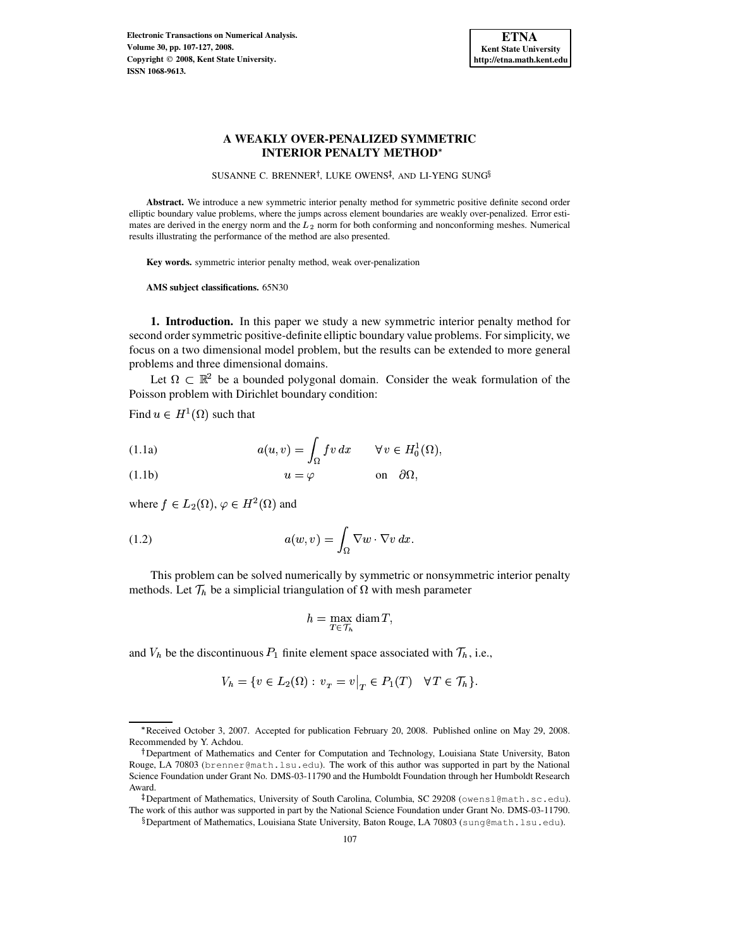

SUSANNE C. BRENNER<sup>†</sup>, LUKE OWENS<sup>‡</sup>, AND LI-YENG SUNG<sup>§</sup>

**Abstract.** We introduce a new symmetric interior penalty method for symmetric positive definite second order elliptic boundary value problems, where the jumps across element boundaries are weakly over-penalized. Error estimates are derived in the energy norm and the  $L_2$  norm for both conforming and nonconforming meshes. Numerical results illustrating the performance of the method are also presented.

**Key words.** symmetric interior penalty method, weak over-penalization

**AMS subject classifications.** 65N30

**1. Introduction.** In this paper we study a new symmetric interior penalty method for second order symmetric positive-definite elliptic boundary value problems. For simplicity, we focus on a two dimensional model problem, but the results can be extended to more general problems and three dimensional domains.

Let  $\Omega \subset \mathbb{R}^2$  be a bounded polygonal domain. Consider the weak formulation of the Poisson problem with Dirichlet boundary condition:

<span id="page-0-0"></span>Find  $u \in H^1(\Omega)$  such that

<span id="page-0-1"></span>(1.1a) 
$$
a(u,v) = \int_{\Omega} fv \, dx \qquad \forall v \in H_0^1(\Omega),
$$

(1.1b) 
$$
u = \varphi
$$
 on  $\partial \Omega$ ,

<span id="page-0-2"></span>where  $f \in L_2(\Omega)$ ,  $\varphi \in H^2(\Omega)$  and

(1.2) 
$$
a(w,v) = \int_{\Omega} \nabla w \cdot \nabla v \, dx.
$$

This problem can be solved numerically by symmetric or nonsymmetric interior penalty methods. Let  $\mathcal{T}_h$  be a simplicial triangulation of  $\Omega$  with mesh parameter

$$
h = \max_{T \in \mathcal{T}_h} \operatorname{diam} T,
$$

and  $V_h$  be the discontinuous  $P_1$  finite element space associated with  $\mathcal{T}_h$ , i.e.,

$$
V_h = \{ v \in L_2(\Omega) : v_T = v \big|_T \in P_1(T) \quad \forall T \in \mathcal{T}_h \}.
$$

<sup>c</sup> Received October 3, 2007. Accepted for publication February 20, 2008. Published online on May 29, 2008. Recommended by Y. Achdou.

<sup>&</sup>lt;sup>†</sup>Department of Mathematics and Center for Computation and Technology, Louisiana State University, Baton Rouge, LA 70803 (brenner@math.lsu.edu). The work of this author was supported in part by the National Science Foundation under Grant No. DMS-03-11790 and the Humboldt Foundation through her Humboldt Research Award.

<sup>-</sup> Department of Mathematics, University of South Carolina, Columbia, SC 29208 (owensl@math.sc.edu). The work of this author was supported in part by the National Science Foundation under Grant No. DMS-03-11790.

 $^{\S}$ Department of Mathematics, Louisiana State University, Baton Rouge, LA 70803 (sung@math.lsu.edu).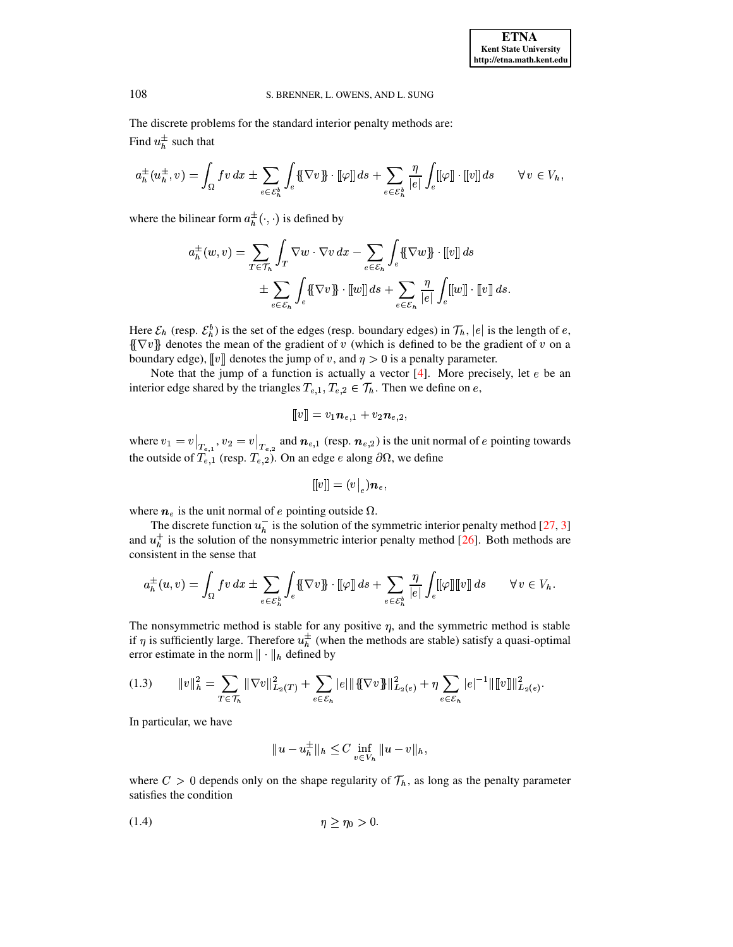The discrete problems for the standard interior penalty methods are: Find  $u_h^{\pm}$  such that

$$
a_h^{\pm}(u_h^{\pm},v) = \int_{\Omega} fv \, dx \pm \sum_{e \in \mathcal{E}_h^b} \int_e \{\!\!\{\nabla v\}\!\!\} \cdot [\![\varphi]\!] \, ds + \sum_{e \in \mathcal{E}_h^b} \frac{\eta}{|e|} \int_e [\![\varphi]\!] \cdot [\![v]\!] \, ds \qquad \forall \, v \in V_h,
$$

where the bilinear form  $a_h^{\pm}(\cdot, \cdot)$  is defined by

$$
a_h^{\pm}(w,v) = \sum_{T \in \mathcal{T}_h} \int_T \nabla w \cdot \nabla v \, dx - \sum_{e \in \mathcal{E}_h} \int_e \{\!\!\{\nabla w\}\!\!\} \cdot [\![v]\!] \, ds
$$
  

$$
\pm \sum_{e \in \mathcal{E}_h} \int_e \{\!\!\{\nabla v\}\!\!\} \cdot [\![w]\!] \, ds + \sum_{e \in \mathcal{E}_h} \frac{\eta}{|e|} \int_e [\![w]\!] \cdot [\![v]\!] \, ds.
$$

Here  $\mathcal{E}_h$  (resp.  $\mathcal{E}_b^b$ ) is the set of the edges (resp. boundary edges) in  $\mathcal{T}_h$ ,  $|e|$  is the length of e,  $\{\nabla v\}$  denotes the mean of the gradient of v (which is defined to be the gradient of v on a boundary edge),  $\llbracket v \rrbracket$  denotes the jump of v, and  $\eta > 0$  is a penalty parameter.

In the state of  $[v]$  denotes the jump of v, and  $\eta > 0$  is a penalty parameter.<br>Note that the jump of a function is actually a vector [\[4\]](#page-19-0). More precisely, let e be an interior edge shared by the triangles  $T_{e,1}, T_{e,2} \in \mathcal{T}_h$ . Then we define on  $e$ ,

$$
[\![v]\!]=v_1\bm{n}_{e,1}+v_2\bm{n}_{e,2},
$$

where  $v_1 = v|_{T_{e,1}}$ ,  $v_2 = v|_{T_{e,2}}$  and  $n_{e,1}$  (resp.  $n_{e,2}$ ) is the unit normal of e pointing towards the outside of  $T_{e,1}$  (resp.  $T_{e,2}$ ). On an edge e along  $\partial\Omega$ , we define

$$
[\hspace{-1.5pt}[ v]\hspace{-1.5pt}] = (v\big\vert_e) \boldsymbol{n}_e,
$$

where  $n_e$  is the unit normal of e pointing outside  $\Omega$ .

The discrete function  $u_h^-$  is the solution of the symmetric interior penalty method [\[27,](#page-20-0) [3\]](#page-19-1) and  $u_h^+$  is the solution of the nonsymmetric interior penalty method [\[26\]](#page-20-1). Both methods are consistent in the sense that

$$
a_h^{\pm}(u,v) = \int_{\Omega} fv \, dx \pm \sum_{e \in \mathcal{E}_h^b} \int_e \{\!\!\{\nabla v\}\!\!\} \cdot [\!\![\varphi]\!\!] \, ds + \sum_{e \in \mathcal{E}_h^b} \frac{\eta}{|e|} \int_e [\!\![\varphi]\!] [\![v]\!] \, ds \qquad \forall \, v \in V_h.
$$

The nonsymmetric method is stable for any positive  $\eta$ , and the symmetric method is stable if  $\eta$  is sufficiently large. Therefore  $u_h^{\pm}$  (when the methods are stable) satisfy a quasi-optimal error estimate in the norm  $\|\cdot\|_h$  defined by

$$
(1.3) \qquad ||v||_h^2 = \sum_{T \in \mathcal{T}_h} ||\nabla v||_{L_2(T)}^2 + \sum_{e \in \mathcal{E}_h} |e| ||\{\nabla v\}\||_{L_2(e)}^2 + \eta \sum_{e \in \mathcal{E}_h} |e|^{-1} ||[v]||_{L_2(e)}^2.
$$

In particular, we have

<span id="page-1-1"></span>
$$
||u - u_h^{\pm}||_h \leq C \inf_{v \in V_h} ||u - v||_h,
$$

<span id="page-1-0"></span>where  $C > 0$  depends only on the shape regularity of  $\mathcal{T}_h$ , as long as the penalty parameter satisfies the condition satisfies the condition

$$
\eta \ge \eta_0 > 0.
$$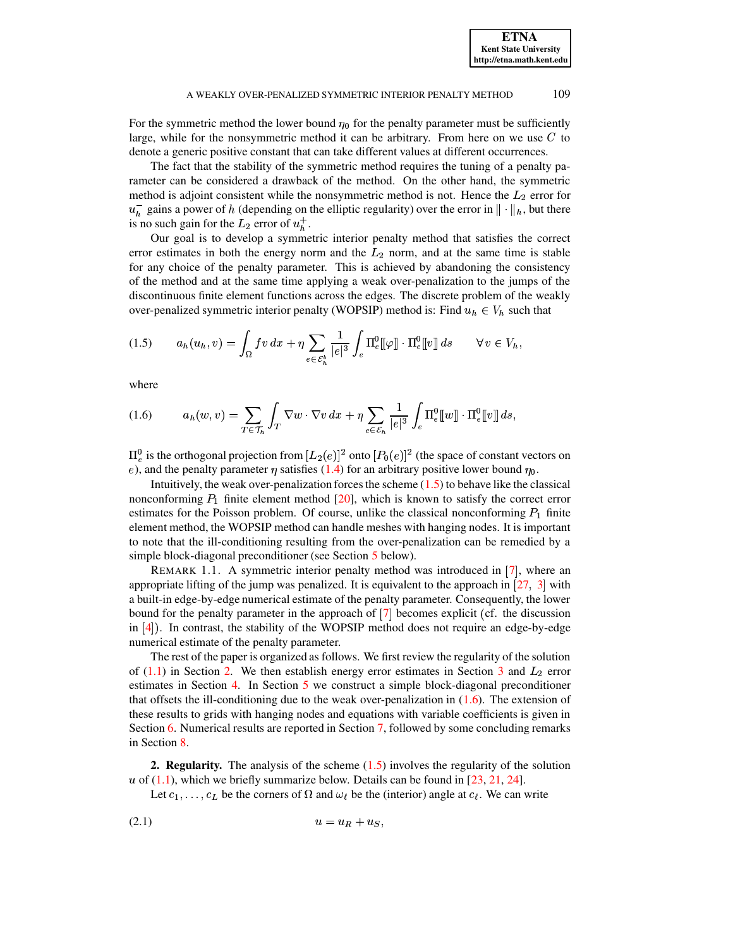For the symmetric method the lower bound  $\eta_0$  for the penalty parameter must be sufficiently denote a generic positive constant that can take different values at different occurrences. large, while for the nonsymmetric method it can be arbitrary. From here on we use  $C$  to

The fact that the stability of the symmetric method requires the tuning of a penalty parameter can be considered a drawback of the method. On the other hand, the symmetric method is adjoint consistent while the nonsymmetric method is not. Hence the  $L_2$  error for  $u_h^-$  gains a power of h (depending on the elliptic regularity) over the error in  $\|\cdot\|_h$ , but there is no such gain for the  $L_2$  error of  $u_h^+$ .

 such gain for the  $L_2$  error of  $u_h^+$ .<br>Our goal is to develop a symmetric interior penalty method that satisfies the correct error estimates in both the energy norm and the  $L_2$  norm, and at the same time is stable  for any choice of the penalty parameter. This is achieved by abandoning the consistency of the method and at the same time applying a weak over-penalization to the jumps of the discontinuous finite element functions across the edges. The discrete problem of the weakly over-penalized symmetric interior penalty (WOPSIP) method is: Find  $u_h \in V_h$  such that

<span id="page-2-0"></span>
$$
(1.5) \qquad a_h(u_h, v) = \int_{\Omega} f v \, dx + \eta \sum_{e \in \mathcal{E}_h^b} \frac{1}{|e|^3} \int_e \Pi_e^0[\![\varphi]\!] \cdot \Pi_e^0[\![v]\!] \, ds \qquad \forall \, v \in V_h,
$$

<span id="page-2-2"></span>where

$$
(1.6) \t a_h(w,v) = \sum_{T \in \mathcal{T}_h} \int_T \nabla w \cdot \nabla v \, dx + \eta \sum_{e \in \mathcal{E}_h} \frac{1}{|e|^3} \int_e \Pi_e^0[\![w]\!] \cdot \Pi_e^0[\![v]\!]\!] \, ds,
$$

e), and the penalty parameter  $\eta$  satisfies [\(1.4\)](#page-1-0) for an arbitrary positive lower bound  $\eta_0$ .  $\frac{1}{e}$  is the orthogonal projection from  $[L_2(e)]^2$  onto  $[P_0(e)]^2$  (the space of constant vectors on

nonconforming  $P_1$  finite element method  $[20]$ , which is known to satisfy the correct error Intuitively, the weak over-penalization forces the scheme  $(1.5)$  to behave like the classical estimates for the Poisson problem. Of course, unlike the classical nonconforming  $P_1$  finite element method, the WOPSIP method can handle meshes with hanging nodes. It is important to note that the ill-conditioning resulting from the over-penalization can be remedied by a simple block-diagonal preconditioner (see Section [5](#page-11-0) below).

REMARK 1.1. A symmetric interior penalty method was introduced in  $[7]$  $[7]$  $[7]$ , where an appropriate lifting of the jump was penalized. It is equivalent to the approach in  $\left[27, 3\right]$  $\left[27, 3\right]$  $\left[27, 3\right]$  $\left[27, 3\right]$  $\left[27, 3\right]$  with a built-in edge-by-edge numerical estimate of the penalty parameter. Consequently, the lower bound for the penalty parameter in the approach of  $\overline{7}$  $\overline{7}$  $\overline{7}$  becomes explicit (cf. the discussion in  $[4]$  $[4]$  $[4]$ ). In contrast, the stability of the WOPSIP method does not require an edge-by-edge numerical estimate of the penalty parameter.

The rest of the paper is organized as follows. We first review the regularity of the solution of  $(1.1)$  in Section [2.](#page-2-1) We then establish energy error estimates in Section [3](#page-4-0) and  $L_2$  error  estimates in Section [4.](#page-9-0) In Section [5](#page-11-0) we construct a simple block-diagonal preconditioner that offsets the ill-conditioning due to the weak over-penalization in  $(1.6)$ . The extension of these results to grids with hanging nodes and equations with variable coefficients is given in Section [6.](#page-13-0) Numerical results are reported in Section [7,](#page-15-0) followed by some concluding remarks in Section [8.](#page-18-0)

<span id="page-2-1"></span>**2. Regularity.** The analysis of the scheme [\(1.5\)](#page-2-0) involves the regularity of the solution u of  $(1.1)$ , which we briefly summarize below. Details can be found in [\[23,](#page-20-3) [21,](#page-20-4) [24\]](#page-20-5).

<span id="page-2-3"></span>Let  $c_1, \ldots, c_L$  be the corners of  $\Omega$  and  $\omega_{\ell}$  be the (interior) angle at  $c_{\ell}$ . We can write

$$
(2.1) \t\t u = u_R + u_S
$$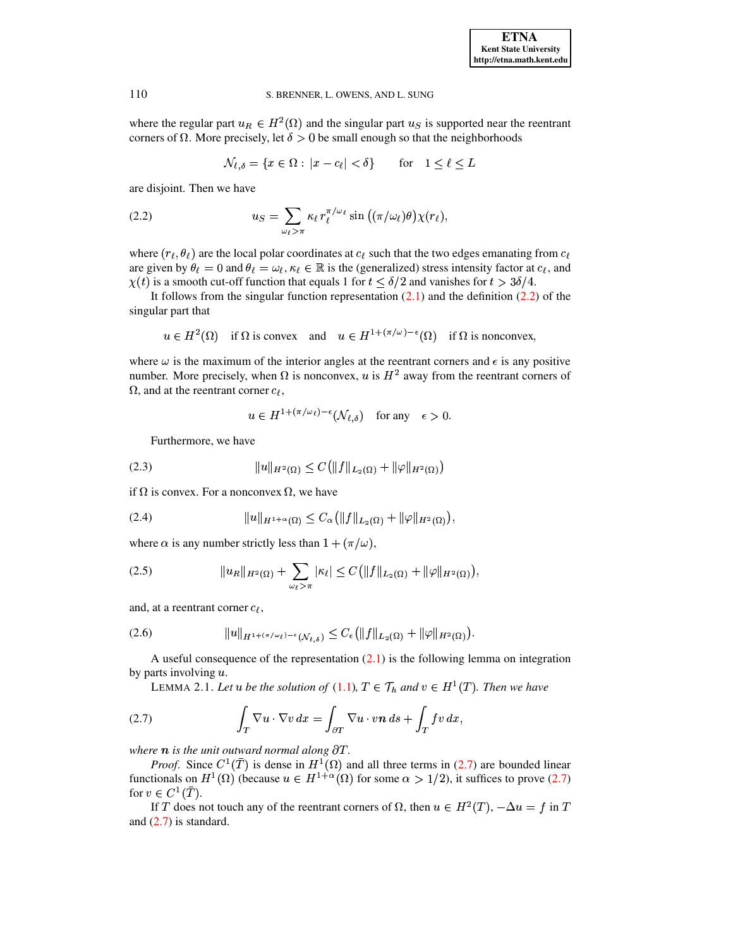where the regular part  $u_R \in H^2(\Omega)$  and the singular part  $u_S$  is supported near the reentrant corners of  $\Omega$ . More precisely, let  $\delta > 0$  be small enough so that the neighborhoods

$$
\mathcal{N}_{\ell,\delta} = \{ x \in \Omega : |x - c_{\ell}| < \delta \} \qquad \text{for} \quad 1 \le \ell \le L
$$

<span id="page-3-0"></span>are disjoint. Then we have

(2.2) 
$$
u_S = \sum_{\omega_\ell > \pi} \kappa_\ell r_\ell^{\pi/\omega_\ell} \sin\left((\pi/\omega_\ell)\theta\right) \chi(r_\ell),
$$

where  $(r_\ell, \theta_\ell)$  are the local polar coordinates at  $c_\ell$  such that the two edges emanating from  $c_\ell$ are given by  $\theta_{\ell} = 0$  and  $\theta_{\ell} = \omega_{\ell}, \kappa_{\ell} \in \mathbb{R}$  is the (generalized) stress intensity factor at  $c_{\ell}$ , and  $\chi(t)$  is a smooth cut-off function that equals 1 for  $t \leq \delta/2$  and vanishes for  $t > 3\delta/4$ .

It follows from the singular function representation  $(2.1)$  and the definition  $(2.2)$  of the singular part that

$$
u \in H^2(\Omega)
$$
 if  $\Omega$  is convex and  $u \in H^{1+(\pi/\omega)-\epsilon}(\Omega)$  if  $\Omega$  is nonconvex,

where  $\omega$  is the maximum of the interior angles at the reentrant corners and  $\epsilon$  is any positive number. More precisely, when  $\Omega$  is nonconvex, u is  $H^2$  away from the reentrant corners of  $\Omega$ , and at the reentrant corner  $c_{\ell}$ ,

<span id="page-3-5"></span><span id="page-3-3"></span>
$$
u \in H^{1 + (\pi/\omega_{\ell}) - \epsilon}(\mathcal{N}_{\ell, \delta}) \quad \text{for any} \quad \epsilon > 0.
$$

<span id="page-3-2"></span>Furthermore, we have

(2.3) 
$$
||u||_{H^2(\Omega)} \leq C(||f||_{L_2(\Omega)} + ||\varphi||_{H^2(\Omega)})
$$

if  $\Omega$  is convex. For a nonconvex  $\Omega$ , we have

(2.4) 
$$
||u||_{H^{1+\alpha}(\Omega)} \leq C_{\alpha} (||f||_{L_2(\Omega)} + ||\varphi||_{H^2(\Omega)}),
$$

where  $\alpha$  is any number strictly less than  $1 + (\pi/\omega)$ ,

(2.5) 
$$
||u_R||_{H^2(\Omega)} + \sum_{\omega_\ell > \pi} |\kappa_\ell| \leq C (||f||_{L_2(\Omega)} + ||\varphi||_{H^2(\Omega)}),
$$

<span id="page-3-6"></span>and, at a reentrant corner  $c_{\ell}$ ,

$$
(2.6) \t\t\t\t\t\|u\|_{H^{1+(\pi/\omega_{\ell})-\epsilon}(\mathcal{N}_{\ell,\delta})} \leq C_{\epsilon} \left(\|f\|_{L_2(\Omega)} + \|\varphi\|_{H^2(\Omega)}\right).
$$

A useful consequence of the representation  $(2.1)$  is the following lemma on integration by parts involving  $u$ .

<span id="page-3-4"></span><span id="page-3-1"></span>LEMMA 2.1. Let u be the solution of (1.1),  $T \in \mathcal{T}_h$  and  $v \in H^1(T)$ . Then we have

(2.7) 
$$
\int_T \nabla u \cdot \nabla v \, dx = \int_{\partial T} \nabla u \cdot v \mathbf{n} \, ds + \int_T f v \, dx,
$$

where  $n$  is the unit outward normal along  $\partial T$ .

*Proof.* Since  $C^1(\overline{T})$  is dense in  $H^1(\Omega)$  and all three terms in (2.7) are bounded linear functionals on  $H^1(\Omega)$  (because  $u \in H^{1+\alpha}(\Omega)$  for some  $\alpha > 1/2$ ), it suffices to prove (2.7) for  $v \in C^1(\overline{T})$ .

If T does not touch any of the reentrant corners of  $\Omega$ , then  $u \in H^2(T)$ ,  $-\Delta u = f$  in T and  $(2.7)$  is standard.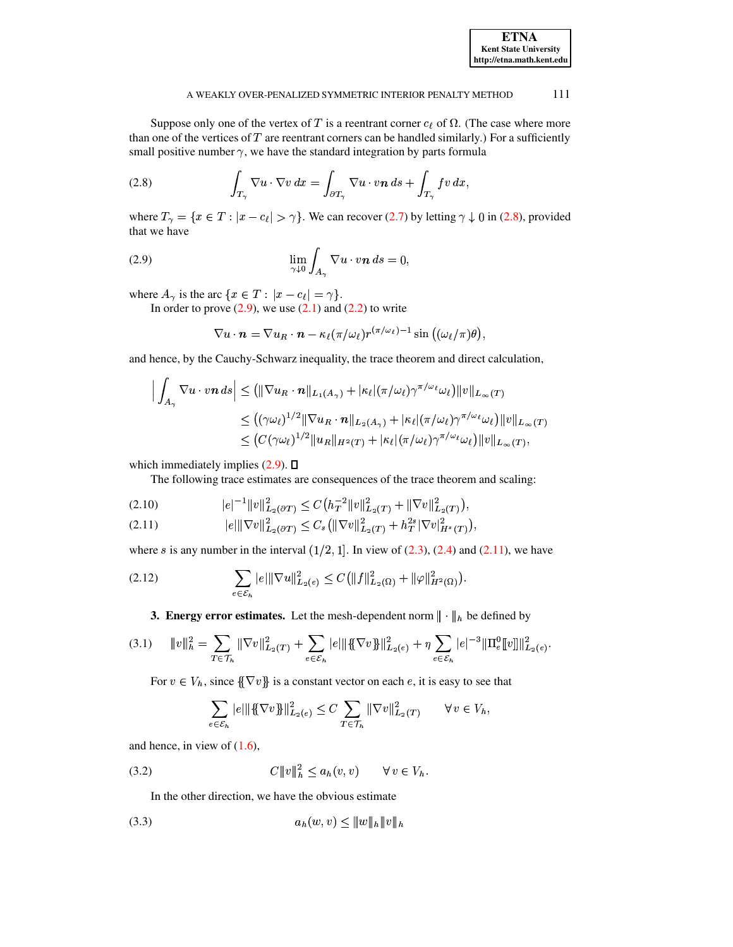<span id="page-4-1"></span>

Suppose only one of the vertex of T is a reentrant corner  $c_{\ell}$  of  $\Omega$ . (The case where more than one of the vertices of  $T$  are reentrant corners can be handled similarly.) For a sufficiently small positive number  $\gamma$ , we have the standard integration by parts formula

(2.8) 
$$
\int_{T_{\gamma}} \nabla u \cdot \nabla v \, dx = \int_{\partial T_{\gamma}} \nabla u \cdot v \, \boldsymbol{n} \, ds + \int_{T_{\gamma}} f v \, dx,
$$

<span id="page-4-2"></span>where  $T_{\gamma} = \{x \in T : |x - c_{\ell}| > \gamma\}$ . We can recover (2.7) by letting  $\gamma \downarrow 0$  in (2.8), provided that we have

(2.9) 
$$
\lim_{\gamma \downarrow 0} \int_{A_{\gamma}} \nabla u \cdot v \mathbf{n} \, ds = 0,
$$

where  $A_{\gamma}$  is the arc  $\{x \in T : |x - c_{\ell}| = \gamma\}.$ 

In order to prove  $(2.9)$ , we use  $(2.1)$  and  $(2.2)$  to write

$$
\nabla u \cdot \boldsymbol{n} = \nabla u_R \cdot \boldsymbol{n} - \kappa_{\ell} (\pi/\omega_{\ell}) r^{(\pi/\omega_{\ell})-1} \sin ((\omega_{\ell}/\pi)\theta)
$$

and hence, by the Cauchy-Schwarz inequality, the trace theorem and direct calculation,

$$
\left| \int_{A_{\gamma}} \nabla u \cdot v \mathbf{n} \, ds \right| \leq \left( \|\nabla u_R \cdot \mathbf{n}\|_{L_1(A_{\gamma})} + |\kappa_{\ell}| (\pi/\omega_{\ell}) \gamma^{\pi/\omega_{\ell}} \omega_{\ell} \right) \|v\|_{L_{\infty}(T)}
$$
  
\n
$$
\leq \left( (\gamma \omega_{\ell})^{1/2} \|\nabla u_R \cdot \mathbf{n}\|_{L_2(A_{\gamma})} + |\kappa_{\ell}| (\pi/\omega_{\ell}) \gamma^{\pi/\omega_{\ell}} \omega_{\ell} \right) \|v\|_{L_{\infty}(T)}
$$
  
\n
$$
\leq \left( C (\gamma \omega_{\ell})^{1/2} \|u_R\|_{H^2(T)} + |\kappa_{\ell}| (\pi/\omega_{\ell}) \gamma^{\pi/\omega_{\ell}} \omega_{\ell} \right) \|v\|_{L_{\infty}(T)},
$$

which immediately implies  $(2.9)$ .  $\Box$ 

The following trace estimates are consequences of the trace theorem and scaling:

<span id="page-4-4"></span>
$$
(2.10) \t\t |e|^{-1} \|v\|_{L_2(\partial T)}^2 \le C \big( h_T^{-2} \|v\|_{L_2(T)}^2 + \|\nabla v\|_{L_2(T)}^2 \big),
$$

<span id="page-4-3"></span>
$$
(2.11) \t\t\t |e| \|\nabla v\|_{L_2(\partial T)}^2 \leq C_s \left( \|\nabla v\|_{L_2(T)}^2 + h_T^{2s} |\nabla v|_{H^s(T)}^2 \right),
$$

where s is any number in the interval  $(1/2, 1]$ . In view of  $(2.3)$ ,  $(2.4)$  and  $(2.11)$ , we have

<span id="page-4-0"></span>
$$
(2.12) \qquad \qquad \sum_{e \in \mathcal{E}_h} |e| \|\nabla u\|_{L_2(e)}^2 \leq C \left( \|f\|_{L_2(\Omega)}^2 + \|\varphi\|_{H^2(\Omega)}^2 \right).
$$

# **3. Energy error estimates.** Let the mesh-dependent norm  $\|\cdot\|_h$  be defined by

$$
(3.1) \t\t\t ||v||_h^2 = \sum_{T \in \mathcal{T}_h} ||\nabla v||_{L_2(T)}^2 + \sum_{e \in \mathcal{E}_h} |e| ||\{\nabla v\}\||_{L_2(e)}^2 + \eta \sum_{e \in \mathcal{E}_h} |e|^{-3} ||\Pi_e^0[v]||_{L_2(e)}^2.
$$

For  $v \in V_h$ , since  $\{\nabla v\}$  is a constant vector on each e, it is easy to see that

<span id="page-4-8"></span><span id="page-4-7"></span><span id="page-4-6"></span>
$$
\sum_{e \in \mathcal{E}_h} |e| \| \{ \nabla v \} \|_{L_2(e)}^2 \leq C \sum_{T \in \mathcal{T}_h} \| \nabla v \|_{L_2(T)}^2 \qquad \forall \, v \in V_h,
$$

<span id="page-4-5"></span>and hence, in view of  $(1.6)$ ,

$$
(3.2) \tC \|v\|_h^2 \le a_h(v,v) \quad \forall v \in V_h.
$$

In the other direction, we have the obvious estimate

$$
(3.3) \t\t a_h(w,v) \le ||w||_h ||v||_h
$$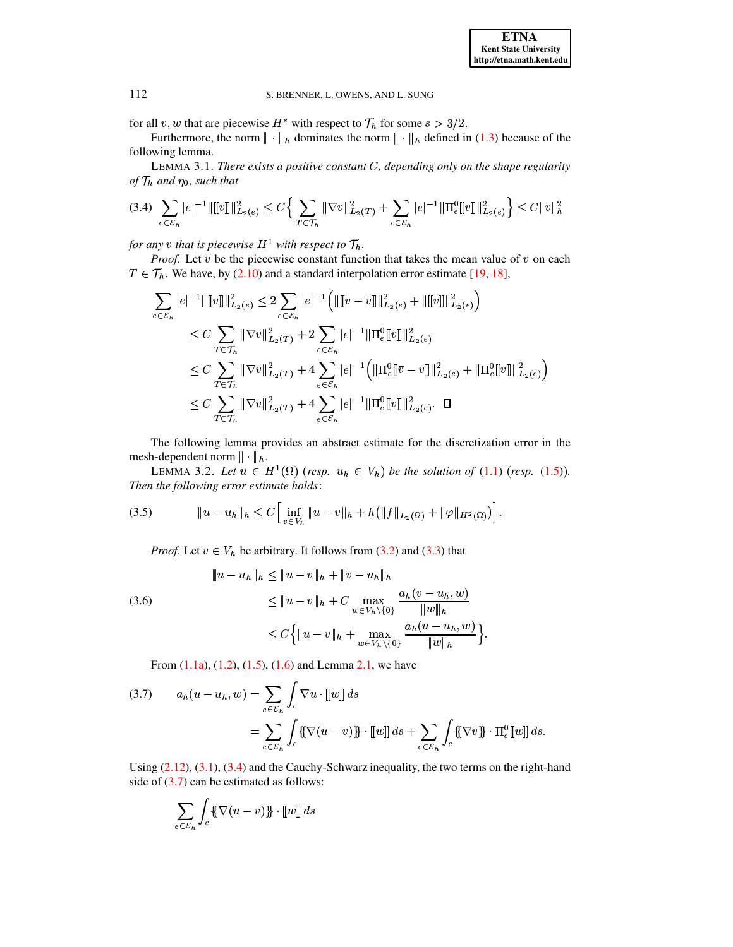for all v, w that are piecewise  $H^s$  with respect to  $\mathcal{T}_h$  for some  $s > 3/2$ .

<span id="page-5-4"></span>Furthermore, the norm  $\|\cdot\|_h$  dominates the norm  $\|\cdot\|_h$  defined in (1.3) because of the following lemma.

<span id="page-5-0"></span>LEMMA 3.1. There exists a positive constant  $C$ , depending only on the shape regularity of  $\mathcal{T}_h$  and  $\eta_0$ , such that

$$
(3.4) \sum_{e \in \mathcal{E}_h} |e|^{-1} \|\llbracket v \rrbracket \|_{L_2(e)}^2 \le C \Big\{ \sum_{T \in \mathcal{T}_h} \|\nabla v\|_{L_2(T)}^2 + \sum_{e \in \mathcal{E}_h} |e|^{-1} \|\Pi_e^0[v]\|_{L_2(e)}^2 \Big\} \le C \|v\|_h^2
$$

for any v that is piecewise  $H^1$  with respect to  $\mathcal{T}_h$ .

*Proof.* Let  $\bar{v}$  be the piecewise constant function that takes the mean value of v on each  $T \in \mathcal{T}_h$ . We have, by (2.10) and a standard interpolation error estimate [19, 18],

$$
\sum_{e \in \mathcal{E}_h} |e|^{-1} \|\llbracket v \rrbracket\|_{L_2(e)}^2 \le 2 \sum_{e \in \mathcal{E}_h} |e|^{-1} \left( \|\llbracket v - \bar{v} \rrbracket\|_{L_2(e)}^2 + \|\llbracket \bar{v} \rrbracket\|_{L_2(e)}^2 \right)
$$
\n
$$
\le C \sum_{T \in \mathcal{T}_h} \|\nabla v\|_{L_2(T)}^2 + 2 \sum_{e \in \mathcal{E}_h} |e|^{-1} \|\Pi_e^0 \llbracket \bar{v} \rrbracket\|_{L_2(e)}^2
$$
\n
$$
\le C \sum_{T \in \mathcal{T}_h} \|\nabla v\|_{L_2(T)}^2 + 4 \sum_{e \in \mathcal{E}_h} |e|^{-1} \left( \|\Pi_e^0 \llbracket \bar{v} - v \rrbracket\|_{L_2(e)}^2 + \|\Pi_e^0 \llbracket v \rrbracket\|_{L_2(e)}^2 \right)
$$
\n
$$
\le C \sum_{T \in \mathcal{T}_h} \|\nabla v\|_{L_2(T)}^2 + 4 \sum_{e \in \mathcal{E}_h} |e|^{-1} \|\Pi_e^0 \llbracket v \rrbracket\|_{L_2(e)}^2.
$$

<span id="page-5-5"></span>The following lemma provides an abstract estimate for the discretization error in the mesh-dependent norm  $\|\cdot\|_h$ .

<span id="page-5-2"></span>LEMMA 3.2. Let  $u \in H^1(\Omega)$  (resp.  $u_h \in V_h$ ) be the solution of (1.1) (resp. (1.5)). Then the following error estimate holds:

*Proof.* Let  $v \in V_h$  be arbitrary. It follows from (3.2) and (3.3) that

<span id="page-5-3"></span>(3.6)  
\n
$$
\|u - u_h\|_h \le \|u - v\|_h + \|v - u_h\|_h
$$
\n
$$
\le \|u - v\|_h + C \max_{w \in V_h \setminus \{0\}} \frac{a_h(v - u_h, w)}{\|w\|_h}
$$
\n
$$
\le C \Big\{ \|u - v\|_h + \max_{w \in V_h \setminus \{0\}} \frac{a_h(u - u_h, w)}{\|w\|_h} \Big\}
$$

From  $(1.1a)$ ,  $(1.2)$ ,  $(1.5)$ ,  $(1.6)$  and Lemma 2.1, we have

<span id="page-5-1"></span>(3.7) 
$$
a_h(u - u_h, w) = \sum_{e \in \mathcal{E}_h} \int_e \nabla u \cdot [w]] ds
$$

$$
= \sum_{e \in \mathcal{E}_h} \int_e \{\nabla (u - v)\} \cdot [w]] ds + \sum_{e \in \mathcal{E}_h} \int_e \{\nabla v\} \cdot \Pi_e^0[[w]] ds
$$

Using  $(2.12)$ ,  $(3.1)$ ,  $(3.4)$  and the Cauchy-Schwarz inequality, the two terms on the right-hand side of  $(3.7)$  can be estimated as follows:

$$
\sum_{e \in \mathcal{E}_h} \int_e \{\!\{\nabla(u - v)\}\!\} \cdot [w] \, ds
$$

112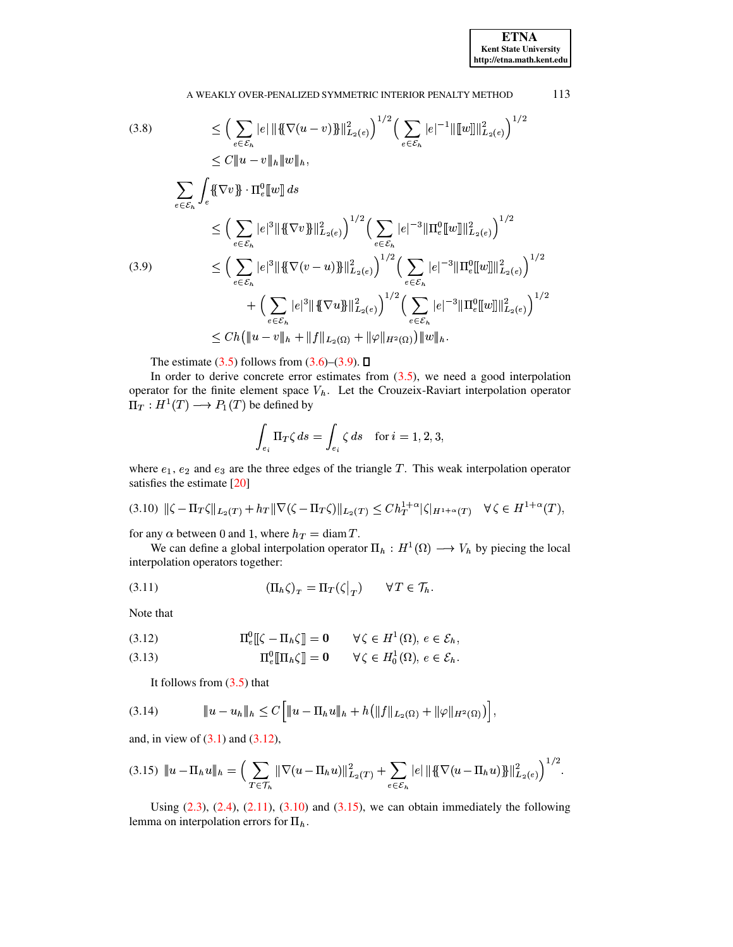(3.8)  
\n
$$
\leq \left(\sum_{e \in \mathcal{E}_h} |e| \|\{\nabla(u-v)\}\|_{L_2(e)}^2\right)^{1/2} \left(\sum_{e \in \mathcal{E}_h} |e|^{-1} \|\|w\|\|_{L_2(e)}^2\right)^{1/2}
$$
\n
$$
\leq C \|u-v\|_h \|w\|_h,
$$
\n
$$
\sum_{e \in \mathcal{E}_h} \int_e \{\nabla v\} \cdot \Pi_e^0 [w] ds
$$
\n
$$
\leq \left(\sum_{e \in \mathcal{E}_h} |e|^3 \|\{\nabla v\}\|_{L_2(e)}^2\right)^{1/2} \left(\sum_{e \in \mathcal{E}_h} |e|^{-3} \|\Pi_e^0 [w]\|_{L_2(e)}^2\right)^{1/2}
$$
\n(3.9)  
\n
$$
\leq \left(\sum_{e \in \mathcal{E}_h} |e|^3 \|\{\nabla(v-u)\}\|_{L_2(e)}^2\right)^{1/2} \left(\sum_{e \in \mathcal{E}_h} |e|^{-3} \|\Pi_e^0 [w]\|_{L_2(e)}^2\right)^{1/2}
$$
\n
$$
+ \left(\sum_{e \in \mathcal{E}_h} |e|^3 \|\{\nabla u\}\|_{L_2(e)}^2\right)^{1/2} \left(\sum_{e \in \mathcal{E}_h} |e|^{-3} \|\Pi_e^0 [w]\|_{L_2(e)}^2\right)^{1/2}
$$
\n
$$
\leq Ch \left(\|u-v\|_h + \|f\|_{L_2(\Omega)} + \|\varphi\|_{H^2(\Omega)}\right) \|w\|_h.
$$

The estimate (3.5) follows from  $(3.6)$ – $(3.9)$ .  $\Box$ 

<span id="page-6-0"></span>In order to derive concrete error estimates from  $(3.5)$ , we need a good interpolation operator for the finite element space  $V<sub>h</sub>$ . Let the Crouzeix-Raviart interpolation operator  $\Pi_T: H^1(T) \longrightarrow P_1(T)$  be defined by

$$
\int_{e_i} \Pi_T \zeta \, ds = \int_{e_i} \zeta \, ds \quad \text{for } i = 1, 2, 3,
$$

<span id="page-6-2"></span>where  $e_1$ ,  $e_2$  and  $e_3$  are the three edges of the triangle T. This weak interpolation operator satisfies the estimate [20]

$$
(3.10) \|\zeta - \Pi_T \zeta\|_{L_2(T)} + h_T \|\nabla (\zeta - \Pi_T \zeta)\|_{L_2(T)} \leq C h_T^{1+\alpha} |\zeta|_{H^{1+\alpha}(T)} \quad \forall \zeta \in H^{1+\alpha}(T),
$$

for any  $\alpha$  between 0 and 1, where  $h_T = \text{diam } T$ .

<span id="page-6-7"></span>We can define a global interpolation operator  $\Pi_h : H^1(\Omega) \longrightarrow V_h$  by piecing the local interpolation operators together:

$$
(3.11) \t\t (\Pi_h \zeta)_T = \Pi_T(\zeta|_T) \t\t \forall T \in \mathcal{T}_h.
$$

Note that

<span id="page-6-1"></span>(3.12) 
$$
\Pi_e^0 \llbracket \zeta - \Pi_h \zeta \rrbracket = 0 \qquad \forall \zeta \in H^1(\Omega), e \in \mathcal{E}_h,
$$

<span id="page-6-6"></span>(3.13) 
$$
\Pi_e^0[\Pi_h \zeta] = 0 \qquad \forall \zeta \in H_0^1(\Omega), e \in \mathcal{E}_h.
$$

<span id="page-6-4"></span>It follows from  $(3.5)$  that

<span id="page-6-3"></span>and, in view of  $(3.1)$  and  $(3.12)$ ,

$$
(3.15) \quad \|u - \Pi_h u\|_h = \Big(\sum_{T \in \mathcal{T}_h} \|\nabla(u - \Pi_h u)\|_{L_2(T)}^2 + \sum_{e \in \mathcal{E}_h} |e| \|\{\nabla(u - \Pi_h u)\}\|_{L_2(e)}^2\Big)^{1/2}.
$$

<span id="page-6-5"></span>Using  $(2.3)$ ,  $(2.4)$ ,  $(2.11)$ ,  $(3.10)$  and  $(3.15)$ , we can obtain immediately the following lemma on interpolation errors for  $\Pi_h$ .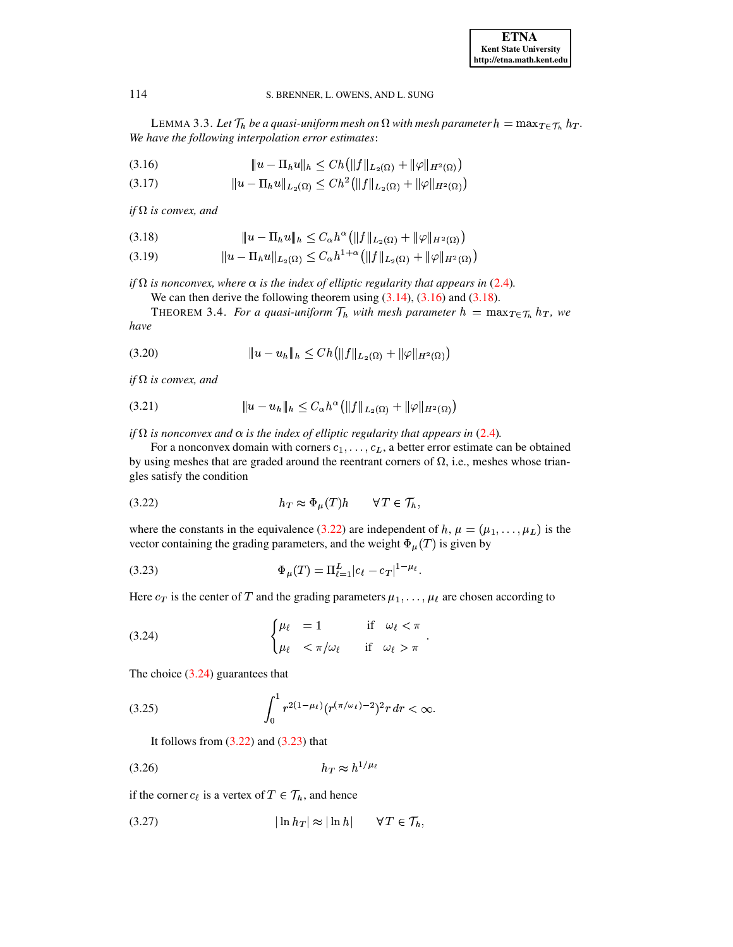LEMMA 3.3. Let  $\mathcal{T}_h$  be a quasi-uniform mesh on  $\Omega$  with mesh parameter  $h = \max_{T \in \mathcal{T}_h} h_T$ . We have the following interpolation error estimates:

<span id="page-7-0"></span>(3.16) 
$$
\|u - \Pi_h u\|_h \leq Ch \left( \|f\|_{L_2(\Omega)} + \|\varphi\|_{H^2(\Omega)} \right)
$$

<span id="page-7-9"></span>
$$
(3.17) \t\t\t ||u - \Pi_h u||_{L_2(\Omega)} \le Ch^2 \left( ||f||_{L_2(\Omega)} + ||\varphi||_{H^2(\Omega)} \right)
$$

if  $\Omega$  is convex, and

<span id="page-7-1"></span>(3.18) 
$$
||u - \Pi_h u||_h \leq C_{\alpha} h^{\alpha} (||f||_{L_2(\Omega)} + ||\varphi||_{H^2(\Omega)})
$$

<span id="page-7-10"></span>
$$
(3.19) \t\t\t ||u - \Pi_h u||_{L_2(\Omega)} \le C_\alpha h^{1+\alpha} (||f||_{L_2(\Omega)} + ||\varphi||_{H^2(\Omega)})
$$

if  $\Omega$  is nonconvex, where  $\alpha$  is the index of elliptic regularity that appears in (2.4).

<span id="page-7-8"></span>We can then derive the following theorem using  $(3.14)$ ,  $(3.16)$  and  $(3.18)$ .

<span id="page-7-11"></span>THEOREM 3.4. For a quasi-uniform  $\mathcal{T}_h$  with mesh parameter  $h = \max_{T \in \mathcal{T}_h} h_T$ , we have

if  $\Omega$  is convex, and

if  $\Omega$  is nonconvex and  $\alpha$  is the index of elliptic regularity that appears in (2.4).

For a nonconvex domain with corners  $c_1, \ldots, c_L$ , a better error estimate can be obtained by using meshes that are graded around the reentrant corners of  $\Omega$ , i.e., meshes whose triangles satisfy the condition

<span id="page-7-2"></span>

<span id="page-7-4"></span>where the constants in the equivalence (3.22) are independent of h,  $\mu = (\mu_1, \dots, \mu_L)$  is the vector containing the grading parameters, and the weight  $\Phi_{\mu}(T)$  is given by

(3.23) 
$$
\Phi_{\mu}(T) = \Pi_{\ell=1}^{L} |c_{\ell} - c_{T}|^{1-\mu_{\ell}}
$$

<span id="page-7-3"></span>Here  $c_T$  is the center of T and the grading parameters  $\mu_1, \dots, \mu_\ell$  are chosen according to

(3.24) 
$$
\begin{cases} \mu_{\ell} = 1 & \text{if } \omega_{\ell} < \pi \\ \mu_{\ell} < \pi/\omega_{\ell} & \text{if } \omega_{\ell} > \pi \end{cases}
$$

<span id="page-7-6"></span>The choice  $(3.24)$  guarantees that

$$
(3.25) \qquad \qquad \int_0^1 r^{2(1-\mu_t)} (r^{(\pi/\omega_t)-2})^2 r \, dr < \infty
$$

<span id="page-7-7"></span><span id="page-7-5"></span>It follows from  $(3.22)$  and  $(3.23)$  that

$$
(3.26)\qquad \qquad h_T \approx h^{1/\mu_\ell}
$$

if the corner  $c_{\ell}$  is a vertex of  $T \in \mathcal{T}_h$ , and hence

$$
(3.27) \t\t\t |\ln h_T| \approx |\ln h| \t\forall T \in \mathcal{T}_h,
$$

114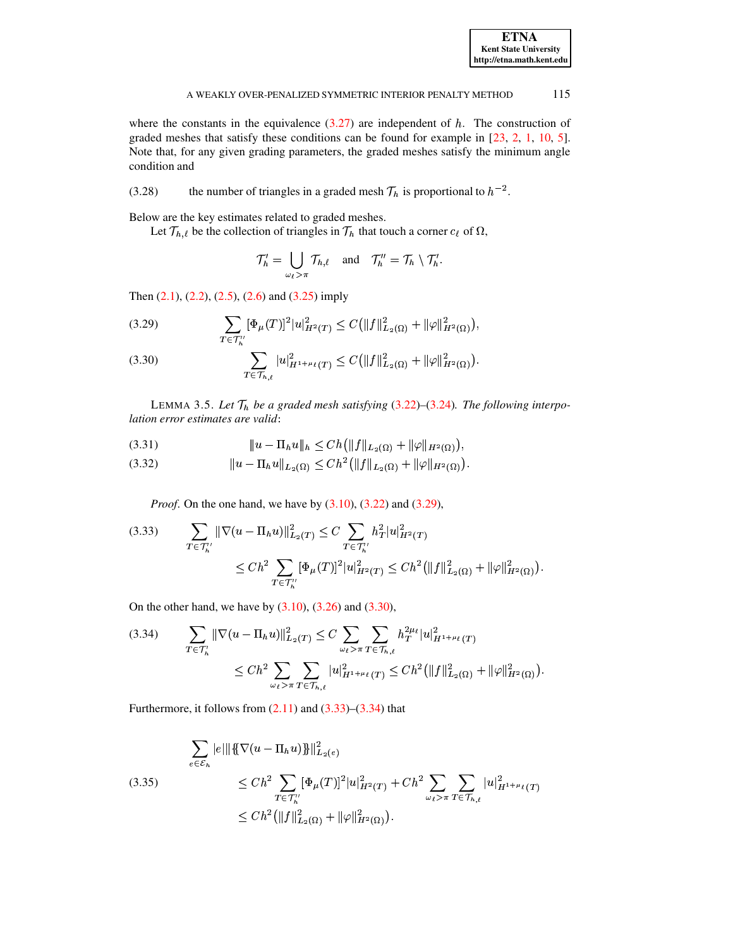where the constants in the equivalence  $(3.27)$  are independent of h. The construction of graded meshes that satisfy these conditions can be found for example in  $[23, 2, 1, 10, 5]$ . Note that, for any given grading parameters, the graded meshes satisfy the minimum angle condition and

<span id="page-8-8"></span>the number of triangles in a graded mesh  $\mathcal{T}_h$  is proportional to  $h^{-2}$ .  $(3.28)$ 

Below are the key estimates related to graded meshes.

Let  $\mathcal{T}_{h,\ell}$  be the collection of triangles in  $\mathcal{T}_h$  that touch a corner  $c_\ell$  of  $\Omega$ ,

$$
\mathcal{T}'_h = \bigcup_{\omega_\ell > \pi} \mathcal{T}_{h,\ell} \quad \text{and} \quad \mathcal{T}''_h = \mathcal{T}_h \setminus \mathcal{T}'_h.
$$

Then  $(2.1)$ ,  $(2.2)$ ,  $(2.5)$ ,  $(2.6)$  and  $(3.25)$  imply

<span id="page-8-0"></span>(3.29) 
$$
\sum_{T \in \mathcal{T}_{h}'} [\Phi_{\mu}(T)]^{2} |u|^{2}_{H^{2}(T)} \leq C (||f||^{2}_{L_{2}(\Omega)} + ||\varphi||^{2}_{H^{2}(\Omega)}),
$$

<span id="page-8-1"></span>(3.30) 
$$
\sum_{T \in \mathcal{T}_{h,\ell}} |u|_{H^{1+\mu_{\ell}}(T)}^2 \leq C \big( \|f\|_{L_2(\Omega)}^2 + \|\varphi\|_{H^2(\Omega)}^2 \big).
$$

<span id="page-8-7"></span>LEMMA 3.5. Let  $\mathcal{T}_h$  be a graded mesh satisfying (3.22)–(3.24). The following interpolation error estimates are valid:

<span id="page-8-5"></span>

<span id="page-8-6"></span>

*Proof.* On the one hand, we have by  $(3.10)$ ,  $(3.22)$  and  $(3.29)$ ,

<span id="page-8-2"></span>
$$
(3.33) \qquad \sum_{T \in \mathcal{T}_h''} \|\nabla(u - \Pi_h u)\|_{L_2(T)}^2 \le C \sum_{T \in \mathcal{T}_h''} h_T^2 |u|_{H^2(T)}^2
$$

$$
\le C h^2 \sum_{T \in \mathcal{T}_h''} [\Phi_\mu(T)]^2 |u|_{H^2(T)}^2 \le C h^2 \left(\|f\|_{L_2(\Omega)}^2 + \|\varphi\|_{H^2(\Omega)}^2\right)
$$

On the other hand, we have by  $(3.10)$ ,  $(3.26)$  and  $(3.30)$ ,

<span id="page-8-3"></span>
$$
(3.34) \qquad \sum_{T \in \mathcal{T}_h^l} \|\nabla(u - \Pi_h u)\|_{L_2(T)}^2 \le C \sum_{\omega_\ell > \pi} \sum_{T \in \mathcal{T}_{h,\ell}} h_T^{2\mu_\ell} |u|_{H^{1+\mu_\ell}(T)}^2 \n\le Ch^2 \sum_{\omega_\ell > \pi} \sum_{T \in \mathcal{T}_{h,\ell}} |u|_{H^{1+\mu_\ell}(T)}^2 \le Ch^2 \left(\|f\|_{L_2(\Omega)}^2 + \|\varphi\|_{H^2(\Omega)}^2\right).
$$

Furthermore, it follows from  $(2.11)$  and  $(3.33)$ – $(3.34)$  that

<span id="page-8-4"></span>
$$
\sum_{e \in \mathcal{E}_h} |e| \|\{\nabla(u - \Pi_h u)\}\|_{L_2(e)}^2
$$
\n
$$
\le Ch^2 \sum_{T \in \mathcal{T}_h''} [\Phi_\mu(T)]^2 |u|_{H^2(T)}^2 + Ch^2 \sum_{\omega_\ell > \pi} \sum_{T \in \mathcal{T}_{h,\ell}} |u|_{H^{1+\mu_\ell}(T)}^2
$$
\n
$$
\le Ch^2 (\|f\|_{L_2(\Omega)}^2 + \|\varphi\|_{H^2(\Omega)}^2).
$$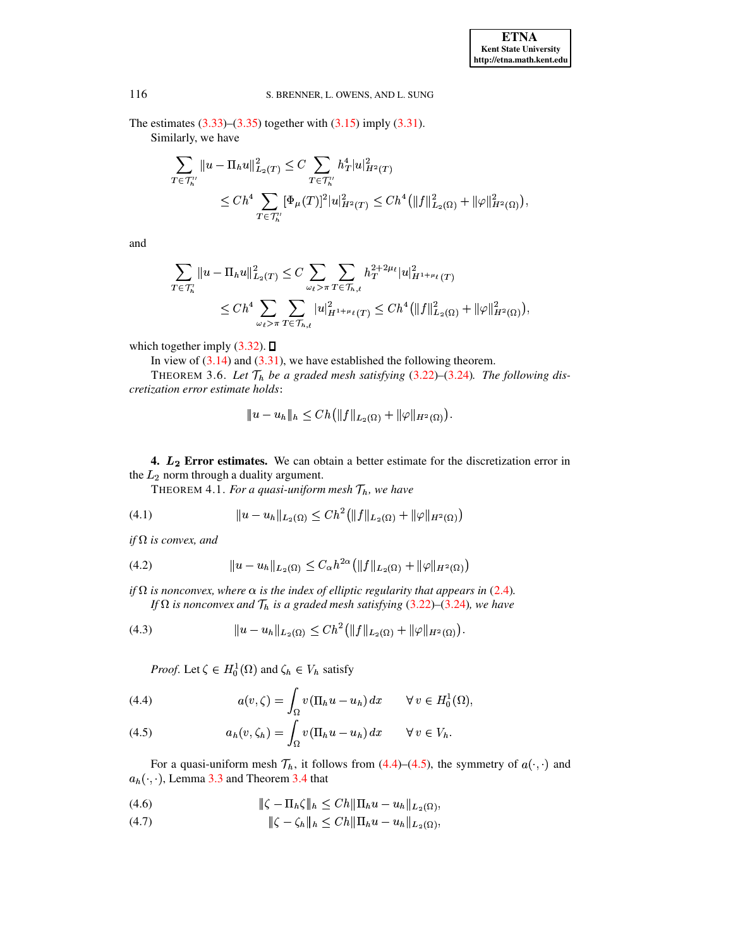The estimates  $(3.33)$ – $(3.35)$  together with  $(3.15)$  imply  $(3.31)$ . Similarly, we have

$$
\sum_{T \in \mathcal{T}'_h} \|u - \Pi_h u\|_{L_2(T)}^2 \le C \sum_{T \in \mathcal{T}'_h} h_T^4 |u|_{H^2(T)}^2
$$
  

$$
\le C h^4 \sum_{T \in \mathcal{T}'_h} [\Phi_\mu(T)]^2 |u|_{H^2(T)}^2 \le C h^4 \left(\|f\|_{L_2(\Omega)}^2 + \|\varphi\|_{H^2(\Omega)}^2\right),
$$

and

$$
\sum_{T \in \mathcal{T}'_h} ||u - \Pi_h u||^2_{L_2(T)} \leq C \sum_{\omega_\ell > \pi} \sum_{T \in \mathcal{T}_{h,\ell}} h_T^{2+2\mu_\ell} |u|_{H^{1+\mu_\ell}(T)}^2
$$
  

$$
\leq C h^4 \sum_{\omega_\ell > \pi} \sum_{T \in \mathcal{T}_{h,\ell}} |u|_{H^{1+\mu_\ell}(T)}^2 \leq C h^4 \left( ||f||^2_{L_2(\Omega)} + ||\varphi||^2_{H^2(\Omega)} \right),
$$

which together imply  $(3.32)$ .  $\square$ 

In view of  $(3.14)$  and  $(3.31)$ , we have established the following theorem.

THEOREM 3.6. Let  $\mathcal{T}_h$  be a graded mesh satisfying (3.22)–(3.24). The following discretization error estimate holds:

<span id="page-9-7"></span><span id="page-9-6"></span><span id="page-9-5"></span><span id="page-9-3"></span>
$$
|u - u_h| |_{h} \leq C h(||f||_{L_2(\Omega)} + ||\varphi||_{H^2(\Omega)}).
$$

<span id="page-9-0"></span>4.  $L_2$  Error estimates. We can obtain a better estimate for the discretization error in the  $L_2$  norm through a duality argument.

THEOREM 4.1. For a quasi-uniform mesh  $\mathcal{T}_h$ , we have

$$
(4.1) \t\t\t ||u - u_h||_{L_2(\Omega)} \leq Ch^2(||f||_{L_2(\Omega)} + ||\varphi||_{H^2(\Omega)})
$$

if  $\Omega$  is convex, and

(4.2) 
$$
||u - u_h||_{L_2(\Omega)} \leq C_{\alpha} h^{2\alpha} (||f||_{L_2(\Omega)} + ||\varphi||_{H^2(\Omega)})
$$

if  $\Omega$  is nonconvex, where  $\alpha$  is the index of elliptic regularity that appears in (2.4). If  $\Omega$  is nonconvex and  $\mathcal{T}_h$  is a graded mesh satisfying (3.22)–(3.24), we have

(4.3) 
$$
||u - u_h||_{L_2(\Omega)} \leq Ch^2(||f||_{L_2(\Omega)} + ||\varphi||_{H^2(\Omega)}).
$$

*Proof.* Let  $\zeta \in H_0^1(\Omega)$  and  $\zeta_h \in V_h$  satisfy

<span id="page-9-1"></span>(4.4) 
$$
a(v,\zeta) = \int_{\Omega} v(\Pi_h u - u_h) dx \quad \forall v \in H_0^1(\Omega),
$$

<span id="page-9-2"></span>(4.5) 
$$
a_h(v,\zeta_h) = \int_{\Omega} v(\Pi_h u - u_h) dx \qquad \forall v \in V_h.
$$

For a quasi-uniform mesh  $\mathcal{T}_h$ , it follows from (4.4)–(4.5), the symmetry of  $a(\cdot, \cdot)$  and  $a_h(\cdot, \cdot)$ , Lemma 3.3 and Theorem 3.4 that

<span id="page-9-4"></span>(4.6) 
$$
\|\zeta - \Pi_h \zeta\|_h \leq C h \|\Pi_h u - u_h\|_{L_2(\Omega)},
$$

$$
(4.7) \t\t\t\t \|\zeta - \zeta_h\|_h \leq C h \|\Pi_h u - u_h\|_{L_2(\Omega)},
$$

116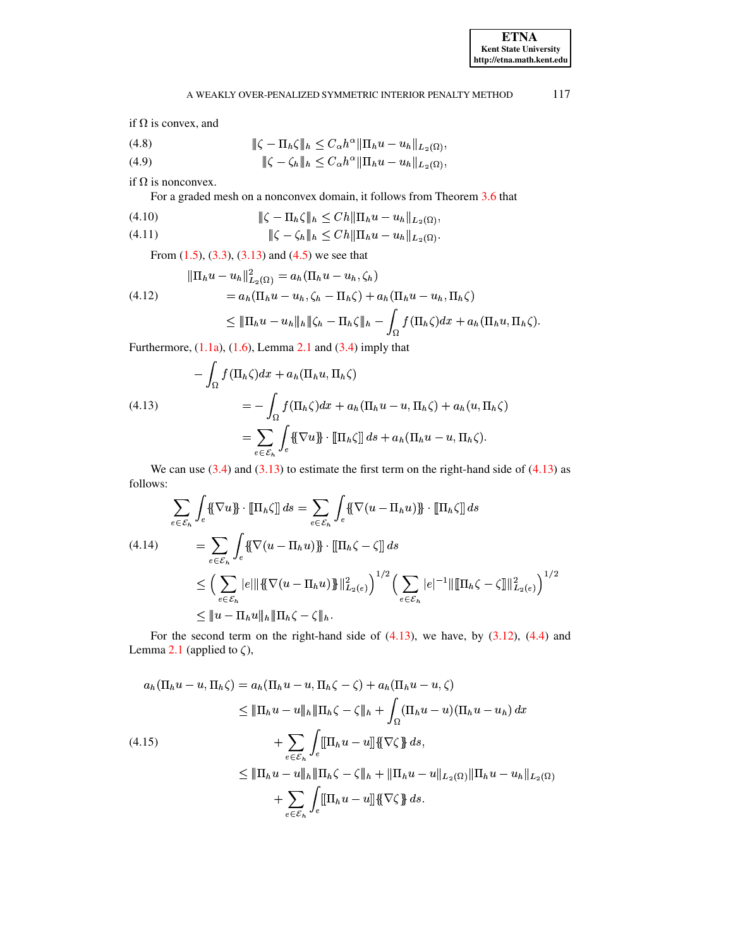if  $\Omega$  is convex, and

(4.8)  
\n
$$
\|\zeta - \Pi_h \zeta\|_h \leq C_{\alpha} h^{\alpha} \|\Pi_h u - u_h\|_{L_2(\Omega)},
$$
\n
$$
\|\zeta - \zeta_h\|_h \leq C_{\alpha} h^{\alpha} \|\Pi_h u - u_h\|_{L_2(\Omega)},
$$

if  $\Omega$  is nonconvex.

For a graded mesh on a nonconvex domain, it follows from Theorem [3.6](#page-9-3) that<br>  $\|\zeta - \Pi_b \zeta\|_b \le C h \|\Pi_b u - u_b\|_{L_2(\Omega)}$ 

(4.10) 
$$
\|\zeta - \Pi_h \zeta\|_h \le C h \|\Pi_h u - u_h\|_{L_2(\Omega)},
$$
  
(4.11) 
$$
\|\zeta - \zeta_h\|_h \le C h \|\Pi_h u - u_h\|_{L_2(\Omega)}.
$$

$$
(4.11) \t\t\t\t\t \|\zeta - \zeta_h\|_h \leq C h \|\Pi_h u - u_h\|_{L_2(\Omega)}.
$$

From [\(1.5\)](#page-2-0), [\(3.3\)](#page-4-6), [\(3.13\)](#page-6-6) and [\(4.5\)](#page-9-2) we see that<br> $||\Pi_h u - u_h||_F^2$  (c) =  $a_h(\Pi_h u - u_h)$ .

$$
\|\Pi_h u - u_h\|_{L_2(\Omega)}^2 = a_h(\Pi_h u - u_h, \zeta_h)
$$
  
\n
$$
= a_h(\Pi_h u - u_h, \zeta_h - \Pi_h \zeta) + a_h(\Pi_h u - u_h, \Pi_h \zeta)
$$
  
\n
$$
\leq \|\Pi_h u - u_h\|_h \|\zeta_h - \Pi_h \zeta\|_h - \int_{\Omega} f(\Pi_h \zeta) dx + a_h(\Pi_h u, \Pi_h \zeta).
$$

Furthermore,  $(1.1a)$ ,  $(1.6)$ , Lemma [2.1](#page-3-4) and  $(3.4)$  imply that

<span id="page-10-0"></span>
$$
-\int_{\Omega} f(\Pi_h \zeta) dx + a_h(\Pi_h u, \Pi_h \zeta)
$$
  
(4.13)  

$$
= -\int_{\Omega} f(\Pi_h \zeta) dx + a_h(\Pi_h u - u, \Pi_h \zeta) + a_h(u, \Pi_h \zeta)
$$
  

$$
= \sum_{e \in \mathcal{E}_h} \int_e {\{\nabla u\}} \cdot {\[\nabla_h \zeta\] ds} + a_h(\Pi_h u - u, \Pi_h \zeta).
$$

We can use  $(3.4)$  and  $(3.13)$  to estimate the first term on the right-hand side of  $(4.13)$  as follows:

<span id="page-10-1"></span>
$$
\sum_{e \in \mathcal{E}_h} \int_e \{\!\{\nabla u\}\!\} \cdot \left[\!\[\Pi_h \zeta\!\] \right] ds = \sum_{e \in \mathcal{E}_h} \int_e \{\!\{\nabla (u - \Pi_h u)\}\!\} \cdot \left[\!\[\Pi_h \zeta\!\] \right] ds
$$
\n
$$
(4.14) \qquad = \sum_{e \in \mathcal{E}_h} \int_e \{\!\{\nabla (u - \Pi_h u)\}\!\} \cdot \left[\!\[\Pi_h \zeta - \zeta\!\] \right] ds
$$
\n
$$
\leq \left(\sum_{e \in \mathcal{E}_h} |e| \|\{\nabla (u - \Pi_h u)\}\|_{L_2(e)}^2\right)^{1/2} \left(\sum_{e \in \mathcal{E}_h} |e|^{-1} \|\left[\!\[\Pi_h \zeta - \zeta\!\] \right]\|_{L_2(e)}^2\right)^{1/2}
$$
\n
$$
\leq \|u - \Pi_h u\|_h \|\Pi_h \zeta - \zeta\|_h.
$$

For the second term on the right-hand side of  $(4.13)$ , we have, by  $(3.12)$ ,  $(4.4)$  and Lemma [2.1](#page-3-4) (applied to  $\zeta$ ),

$$
a_h(\Pi_h u - u, \Pi_h \zeta) = a_h(\Pi_h u - u, \Pi_h \zeta - \zeta) + a_h(\Pi_h u - u, \zeta)
$$
  
\n
$$
\leq \|\Pi_h u - u\|_h \|\Pi_h \zeta - \zeta\|_h + \int_{\Omega} (\Pi_h u - u)(\Pi_h u - u_h) dx
$$
  
\n
$$
+ \sum_{e \in \mathcal{E}_h} \int_e \llbracket \Pi_h u - u \rrbracket \{\nabla \zeta \} ds,
$$
  
\n
$$
\leq \|\Pi_h u - u\|_h \|\Pi_h \zeta - \zeta\|_h + \|\Pi_h u - u\|_{L_2(\Omega)} \|\Pi_h u - u_h\|_{L_2(\Omega)}
$$
  
\n
$$
+ \sum_{e \in \mathcal{E}_h} \int_e \llbracket \Pi_h u - u \rrbracket \{\nabla \zeta \} ds.
$$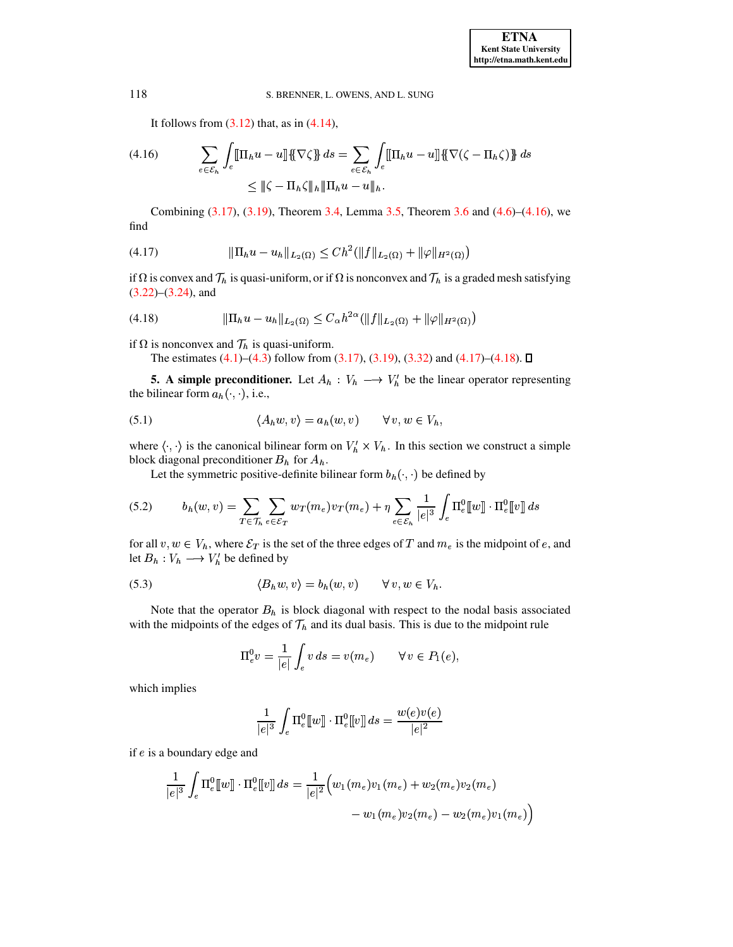It follows from  $(3.12)$  that, as in  $(4.14)$ ,

<span id="page-11-1"></span>(4.16) 
$$
\sum_{e \in \mathcal{E}_h} \int_e [\![\Pi_h u - u]\!] \{ \nabla \zeta \} ds = \sum_{e \in \mathcal{E}_h} \int_e [\![\Pi_h u - u]\!] \{ \nabla (\zeta - \Pi_h \zeta) \} ds
$$

$$
\leq \| \zeta - \Pi_h \zeta \|_h \| \Pi_h u - u \|_h.
$$

<span id="page-11-2"></span>Combining  $(3.17)$ ,  $(3.19)$ , Theorem 3.4, Lemma 3.5, Theorem 3.6 and  $(4.6)$ – $(4.16)$ , we find

<span id="page-11-3"></span>if  $\Omega$  is convex and  $\mathcal{T}_h$  is quasi-uniform, or if  $\Omega$  is nonconvex and  $\mathcal{T}_h$  is a graded mesh satisfying  $(3.22)$ – $(3.24)$ , and

$$
(4.18) \t\t ||\Pi_h u - u_h||_{L_2(\Omega)} \leq C_\alpha h^{2\alpha} (||f||_{L_2(\Omega)} + ||\varphi||_{H^2(\Omega)})
$$

if  $\Omega$  is nonconvex and  $\mathcal{T}_h$  is quasi-uniform.

<span id="page-11-4"></span>The estimates  $(4.1)$ – $(4.3)$  follow from  $(3.17)$ ,  $(3.19)$ ,  $(3.32)$  and  $(4.17)$ – $(4.18)$ .  $\square$ 

<span id="page-11-0"></span>**5.** A simple preconditioner. Let  $A_h : V_h \longrightarrow V'_h$  be the linear operator representing the bilinear form  $a_h(\cdot, \cdot)$ , i.e.,

$$
(5.1) \qquad \langle A_h w, v \rangle = a_h(w, v) \qquad \forall \, v, w \in V_h
$$

where  $\langle \cdot, \cdot \rangle$  is the canonical bilinear form on  $V_h' \times V_h$ . In this section we construct a simple block diagonal preconditioner  $B_h$  for  $A_h$ .

Let the symmetric positive-definite bilinear form  $b_h(\cdot, \cdot)$  be defined by

$$
(5.2) \t\t bh(w,v) = \sum_{T \in \mathcal{T}_h} \sum_{e \in \mathcal{E}_T} w_T(m_e) v_T(m_e) + \eta \sum_{e \in \mathcal{E}_h} \frac{1}{|e|^3} \int_e \Pi_e^0[[w]] \cdot \Pi_e^0[[v]] ds
$$

<span id="page-11-5"></span>for all  $v, w \in V_h$ , where  $\mathcal{E}_T$  is the set of the three edges of T and  $m_e$  is the midpoint of e, and let  $B_h: V_h \longrightarrow V'_h$  be defined by

(5.3) 
$$
\langle B_h w, v \rangle = b_h(w, v) \qquad \forall v, w \in V_h.
$$

Note that the operator  $B_h$  is block diagonal with respect to the nodal basis associated with the midpoints of the edges of  $\mathcal{T}_h$  and its dual basis. This is due to the midpoint rule

<span id="page-11-6"></span>
$$
\Pi_e^0 v = \frac{1}{|e|} \int_e v \, ds = v(m_e) \qquad \forall \, v \in P_1(e),
$$

which implies

$$
\frac{1}{|e|^3}\int_e \Pi^0_e[[w]]\cdot \Pi^0_e[[v]] ds = \frac{w(e)v(e)}{|e|^2}
$$

if  $e$  is a boundary edge and

$$
\begin{aligned} \frac{1}{|e|^3}\int_e \Pi^0_e [\hspace{-1.5pt}[ w]\hspace{-1.5pt}] \cdot \Pi^0_e [\hspace{-1.5pt}[ v]\hspace{-1.5pt}] \,ds = \frac{1}{|e|^2} \Big( w_1(m_e) v_1(m_e) + w_2(m_e) v_2(m_e) \\ &- w_1(m_e) v_2(m_e) - w_2(m_e) v_1(m_e) \Big) \end{aligned}
$$

118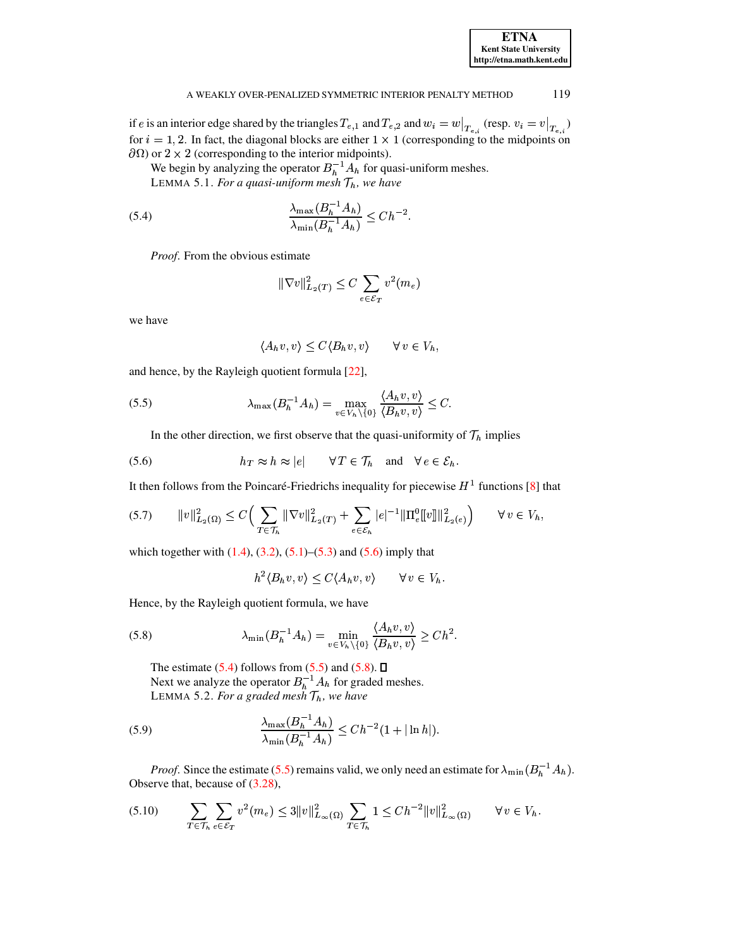| <b>ETNA</b>                  |
|------------------------------|
| <b>Kent State University</b> |
| http://etna.math.kent.edu    |

if e is an interior edge shared by the triangles  $T_{e,1}$  and  $T_{e,2}$  and  $w_i = w|_{T_{e,i}}$  (resp.  $v_i = v|_{T_{e,i}}$ ) for  $i = 1, 2$ . In fact, the diagonal blocks are either  $1 \times 1$  (corresponding to the midpoints on  $\partial\Omega$ ) or 2 × 2 (corresponding to the interior midpoints).

We begin by analyzing the operator  $B_h^{-1}A_h$  for quasi-uniform meshes. LEMMA 5.1. For a quasi-uniform mesh  $\mathcal{T}_h$ , we have

$$
\frac{\lambda_{\max}(B_h^{-1}A_h)}{\lambda_{\min}(B_h^{-1}A_h)} \le Ch^{-2}
$$

Proof. From the obvious estimate

<span id="page-12-1"></span>
$$
\|\nabla v\|_{L_2(T)}^2 \le C \sum_{e \in \mathcal{E}_T} v^2(m_e)
$$

we have

<span id="page-12-2"></span><span id="page-12-0"></span>
$$
\langle A_h v, v \rangle \le C \langle B_h v, v \rangle \qquad \forall v \in V_h,
$$

and hence, by the Rayleigh quotient formula  $[22]$ ,

(5.5) 
$$
\lambda_{\max}(B_h^{-1}A_h) = \max_{v \in V_h \setminus \{0\}} \frac{\langle A_h v, v \rangle}{\langle B_h v, v \rangle} \leq C.
$$

In the other direction, we first observe that the quasi-uniformity of  $\mathcal{T}_h$  implies

(5.6) 
$$
h_T \approx h \approx |e| \quad \forall T \in \mathcal{T}_h \text{ and } \forall e \in \mathcal{E}_h
$$

It then follows from the Poincaré-Friedrichs inequality for piecewise  $H^1$  functions [8] that

$$
(5.7) \qquad ||v||_{L_2(\Omega)}^2 \le C \Big( \sum_{T \in \mathcal{T}_h} ||\nabla v||_{L_2(T)}^2 + \sum_{e \in \mathcal{E}_h} |e|^{-1} ||\Pi_e^0[ [v]||_{L_2(e)}^2 \Big) \qquad \forall \, v \in V_h,
$$

which together with  $(1.4)$ ,  $(3.2)$ ,  $(5.1)$ – $(5.3)$  and  $(5.6)$  imply that

<span id="page-12-6"></span><span id="page-12-4"></span><span id="page-12-3"></span>
$$
h^2 \langle B_h v, v \rangle \le C \langle A_h v, v \rangle \qquad \forall \, v \in V_h.
$$

Hence, by the Rayleigh quotient formula, we have

(5.8) 
$$
\lambda_{\min}(B_h^{-1}A_h) = \min_{v \in V_h \setminus \{0\}} \frac{\langle A_h v, v \rangle}{\langle B_h v, v \rangle} \ge C h^2.
$$

The estimate  $(5.4)$  follows from  $(5.5)$  and  $(5.8)$ .  $\Box$ Next we analyze the operator  $B_h^{-1}A_h$  for graded meshes. LEMMA 5.2. For a graded mesh  $\mathcal{T}_h$ , we have

(5.9) 
$$
\frac{\lambda_{\max}(B_h^{-1}A_h)}{\lambda_{\min}(B_h^{-1}A_h)} \le C h^{-2} (1 + |\ln h|)
$$

<span id="page-12-5"></span>*Proof.* Since the estimate (5.5) remains valid, we only need an estimate for  $\lambda_{\min}(B_h^{-1}A_h)$ . Observe that, because of  $(3.28)$ ,

$$
(5.10) \qquad \sum_{T \in \mathcal{T}_h} \sum_{e \in \mathcal{E}_T} v^2(m_e) \le 3 \|v\|_{L_\infty(\Omega)}^2 \sum_{T \in \mathcal{T}_h} 1 \le Ch^{-2} \|v\|_{L_\infty(\Omega)}^2 \qquad \forall \, v \in V_h.
$$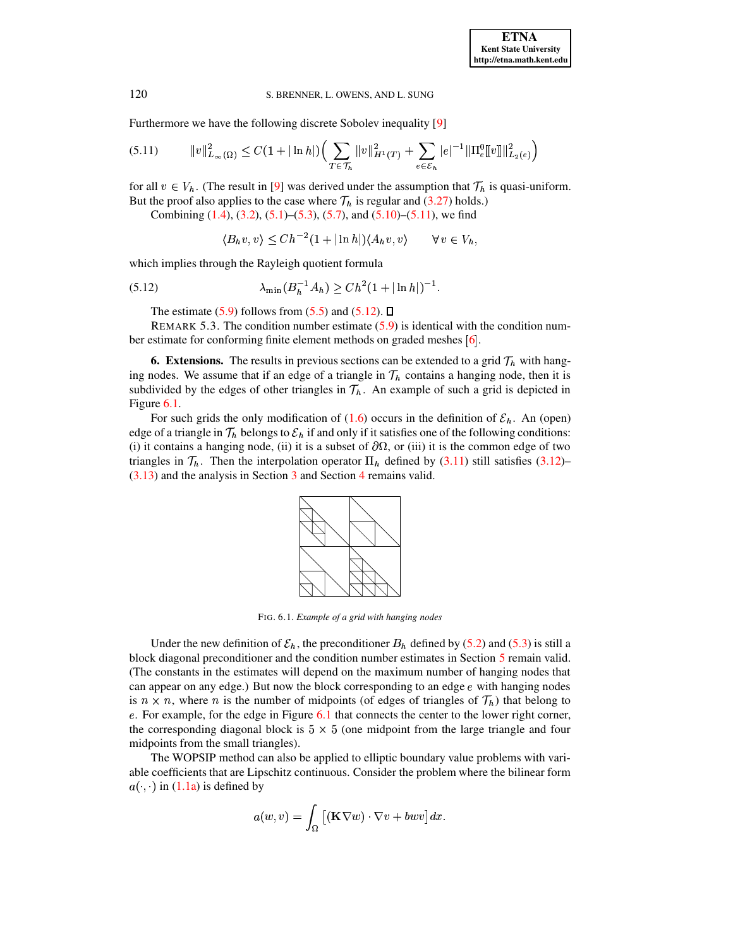Furthermore we have the following discrete Sobolev inequality [\[9\]](#page-20-11)

$$
(5.11) \t\t ||v||_{L_{\infty}(\Omega)}^2 \leq C(1+|\ln h|)\Big(\sum_{T\in\mathcal{T}_h}||v||_{H^1(T)}^2+\sum_{e\in\mathcal{E}_h}|e|^{-1}\|\Pi_e^0[v]\|_{L_2(e)}^2\Big)
$$

for all  $v \in V_h$ . (The result in [\[9\]](#page-20-11) was derived under the assumption that  $\mathcal{T}_h$  is quasi-uniform. But the proof also applies to the case where  $\mathcal{T}_h$  is regular and [\(3.27\)](#page-7-5) holds.)

Combining  $(1.4)$ ,  $(3.2)$ ,  $(5.1)$ – $(5.3)$ ,  $(5.7)$ , and  $(5.10)$ – $(5.11)$ , we find

<span id="page-13-2"></span><span id="page-13-1"></span>
$$
\langle B_h v, v \rangle \le C h^{-2} (1 + |\ln h|) \langle A_h v, v \rangle \qquad \forall v \in V_h,
$$

which implies through the Rayleigh quotient formula

(5.12) 
$$
\lambda_{\min}(B_h^{-1}A_h) \ge C h^2 (1 + |\ln h|)^{-1}.
$$

The estimate [\(5.9\)](#page-12-6) follows from [\(5.5\)](#page-12-2) and [\(5.12\)](#page-13-2).  $\Box$ 

REMARK 5.3. The condition number estimate [\(5.9\)](#page-12-6) is identical with the condition number estimate for conforming finite element methods on graded meshes  $\lceil 6 \rceil$  $\lceil 6 \rceil$  $\lceil 6 \rceil$ .

<span id="page-13-0"></span>**6. Extensions.** The results in previous sections can be extended to a grid  $\mathcal{T}_h$  with hanging nodes. We assume that if an edge of a triangle in  $\mathcal{T}_h$  contains a hanging node, then it is subdivided by the edges of other triangles in  $\mathcal{T}_h$ . An example of such a grid is depicted in Figure [6.1.](#page-13-3)

For such grids the only modification of  $(1.6)$  occurs in the definition of  $\mathcal{E}_h$ . An (open) edge of a triangle in  $\mathcal{T}_h$  belongs to  $\mathcal{E}_h$  if and only if it satisfies one of the following conditions: (i) it contains a hanging node, (ii) it is a subset of  $\partial\Omega$ , or (iii) it is the common edge of two triangles in  $\mathcal{T}_h$ . Then the interpolation operator  $\Pi_h$  defined by [\(3.11\)](#page-6-7) still satisfies [\(3.12\)](#page-6-1)–  $(3.13)$  and the analysis in Section [3](#page-4-0) and Section [4](#page-9-0) remains valid.



<span id="page-13-3"></span>FIG. 6.1. *Example of a grid with hanging nodes*

Under the new definition of  $\mathcal{E}_h$ , the preconditioner  $B_h$  defined by [\(5.2\)](#page-11-6) and [\(5.3\)](#page-11-5) is still a block diagonal preconditioner and the condition number estimates in Section [5](#page-11-0) remain valid. (The constants in the estimates will depend on the maximum number of hanging nodes that can appear on any edge.) But now the block corresponding to an edge  $e$  with hanging nodes is  $n \times n$ , where n is the number of midpoints (of edges of triangles of  $\mathcal{T}_h$ ) that belong to e. For example, for the edge in Figure [6.1](#page-13-3) that connects the center to the lower right corner, the corresponding diagonal block is  $5 \times 5$  (one midpoint from the large triangle and four midpoints from the small triangles).

The WOPSIP method can also be applied to elliptic boundary value problems with variable coefficients that are Lipschitz continuous. Consider the problem where the bilinear form  $a(\cdot, \cdot)$  in [\(1.1a\)](#page-0-1) is defined by

$$
a(w,v) = \int_{\Omega} [(\mathbf{K} \nabla w) \cdot \nabla v + b w v] dx.
$$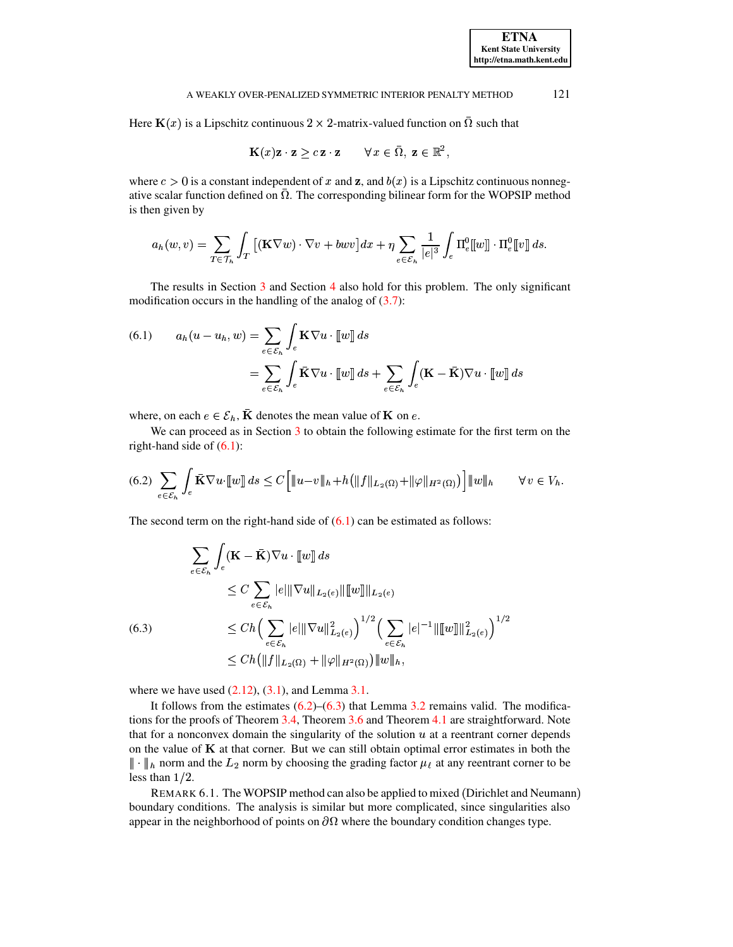Here  $\mathbf{K}(x)$  is a Lipschitz continuous  $2 \times 2$ -matrix-valued function on  $\Omega$  such that

$$
\mathbf{K}(x)\mathbf{z}\cdot\mathbf{z} \geq c\,\mathbf{z}\cdot\mathbf{z} \qquad \forall \, x\in\bar{\Omega}, \, \mathbf{z}\in\mathbb{R}^2,
$$

where  $c > 0$  is a constant independent of x and z, and  $b(x)$  is a Lipschitz continuous nonnegative scalar function defined on  $\overline{\Omega}$ . The corresponding bilinear form for the WOPSIP method is then given by

$$
a_h(w,v) = \sum_{T \in \mathcal{T}_h} \int_T \left[ (\mathbf{K} \nabla w) \cdot \nabla v + b w v \right] dx + \eta \sum_{e \in \mathcal{E}_h} \frac{1}{|e|^3} \int_e \Pi_e^0[[w]] \cdot \Pi_e^0[[v]] ds.
$$

The results in Section 3 and Section 4 also hold for this problem. The only significant modification occurs in the handling of the analog of  $(3.7)$ :

<span id="page-14-0"></span>(6.1) 
$$
a_h(u - u_h, w) = \sum_{e \in \mathcal{E}_h} \int_e \mathbf{K} \nabla u \cdot [ [w] ] ds
$$

$$
= \sum_{e \in \mathcal{E}_h} \int_e \bar{\mathbf{K}} \nabla u \cdot [ [w] ] ds + \sum_{e \in \mathcal{E}_h} \int_e (\mathbf{K} - \bar{\mathbf{K}}) \nabla u \cdot [ [w] ] ds
$$

where, on each  $e \in \mathcal{E}_h$ ,  $\overline{K}$  denotes the mean value of **K** on *e*.

<span id="page-14-1"></span>We can proceed as in Section 3 to obtain the following estimate for the first term on the right-hand side of  $(6.1)$ :

$$
(6.2)\sum_{e\in\mathcal{E}_h}\int_e\bar{\mathbf{K}}\nabla u\cdot\llbracket w\rrbracket\,ds\leq C\Big[\|u-v\|_h+h\big(\|f\|_{L_2(\Omega)}+\|\varphi\|_{H^2(\Omega)}\big)\Big]\|w\|_h\qquad\forall\,v\in V_h.
$$

The second term on the right-hand side of  $(6.1)$  can be estimated as follows:

$$
\sum_{e \in \mathcal{E}_h} \int_e (\mathbf{K} - \bar{\mathbf{K}}) \nabla u \cdot [[w]] ds
$$
\n
$$
\leq C \sum_{e \in \mathcal{E}_h} |e| \|\nabla u\|_{L_2(e)} \|[[w]]\|_{L_2(e)}
$$
\n(6.3)\n
$$
\leq Ch \Big( \sum_{e \in \mathcal{E}_h} |e| \|\nabla u\|_{L_2(e)}^2 \Big)^{1/2} \Big( \sum_{e \in \mathcal{E}_h} |e|^{-1} \|[[w]]\|_{L_2(e)}^2 \Big)^{1/2}
$$
\n
$$
\leq Ch \Big( \|f\|_{L_2(\Omega)} + \|\varphi\|_{H^2(\Omega)} \Big) \|w\|_{h},
$$

<span id="page-14-2"></span>where we have used  $(2.12)$ ,  $(3.1)$ , and Lemma 3.1.

It follows from the estimates  $(6.2)$ – $(6.3)$  that Lemma 3.2 remains valid. The modifications for the proofs of Theorem 3.4, Theorem 3.6 and Theorem 4.1 are straightforward. Note that for a nonconvex domain the singularity of the solution  $u$  at a reentrant corner depends on the value of  $K$  at that corner. But we can still obtain optimal error estimates in both the  $\|\cdot\|_h$  norm and the  $L_2$  norm by choosing the grading factor  $\mu_{\ell}$  at any reentrant corner to be less than  $1/2$ .

REMARK 6.1. The WOPSIP method can also be applied to mixed (Dirichlet and Neumann) boundary conditions. The analysis is similar but more complicated, since singularities also appear in the neighborhood of points on  $\partial\Omega$  where the boundary condition changes type.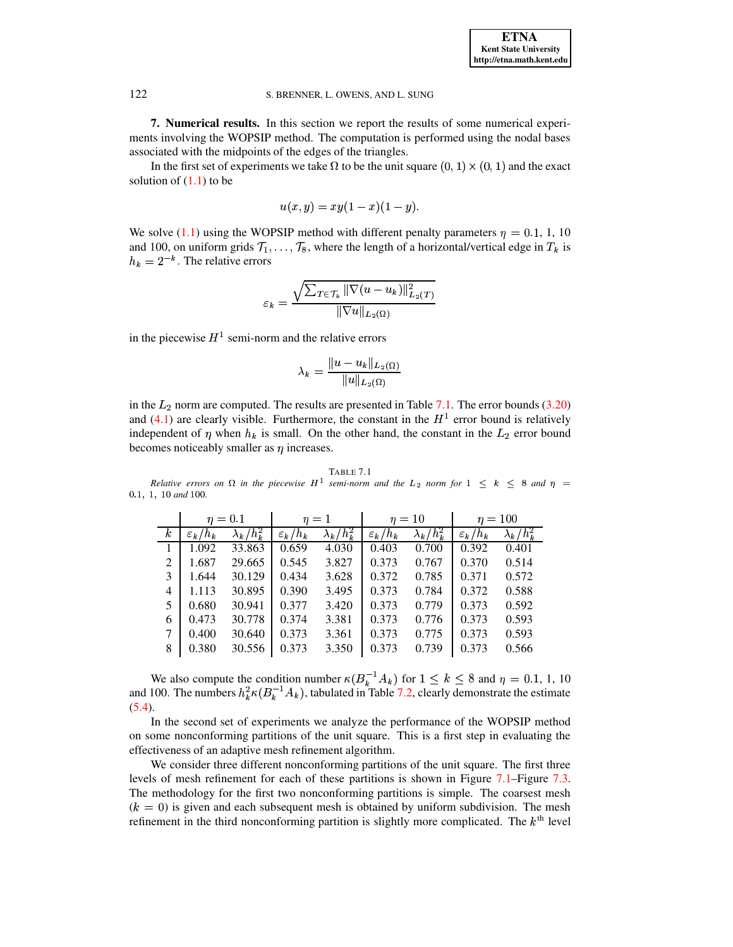<span id="page-15-0"></span>**7. Numerical results.** In this section we report the results of some numerical experiments involving the WOPSIP method. The computation is performed using the nodal bases associated with the midpoints of the edges of the triangles.

In the first set of experiments we take  $\Omega$  to be the unit square  $(0, 1) \times (0, 1)$  and the exact solution of  $(1.1)$  to be

$$
u(x, y) = xy(1 - x)(1 - y).
$$

We solve [\(1.1\)](#page-0-0) using the WOPSIP method with different penalty parameters  $\eta = 0.1$ , We solve (1.1) using the WOPSIP method with different penalty parameters  $\eta = 0.1, 1, 10$  and 100, on uniform grids  $\mathcal{T}_1, \ldots, \mathcal{T}_8$ , where the length of a horizontal/vertical edge in  $T_k$  is  $h_k = 2^{-k}$ . The relative errors

$$
\varepsilon_k = \frac{\sqrt{\sum_{T \in \mathcal{T}_k} \|\nabla(u - u_k)\|_{L_2(T)}^2}}{\|\nabla u\|_{L_2(\Omega)}}
$$

in the piecewise  $H<sup>1</sup>$  semi-norm and the relative errors

$$
\lambda_k = \frac{\|u - u_k\|_{L_2(\Omega)}}{\|u\|_{L_2(\Omega)}}
$$

in the  $L_2$  norm are computed. The results are presented in Table [7.1.](#page-15-1) The error bounds [\(3.20\)](#page-7-11) and  $(4.1)$  are clearly visible. Furthermore, the constant in the  $H<sup>1</sup>$  error bound is relatively independent of  $\eta$  when  $h_k$  is small. On the other hand, the constant in the  $L_2$  error bound becomes noticeably smaller as  $\eta$  increases.

<span id="page-15-1"></span>TABLE 7.1 *Relative errors* on  $\Omega$  *in the piecewise*  $H^1$  *semi-norm* and the  $L_2$  *norm* for  $1 \leq k \leq 8$  *and*  $\eta =$ 0.1, 1, 10 and 100.

|                  | $\eta=0.1$          |                   | $\eta=1$            |                   | $\eta = 10$         |                   | $\eta = 100$        |                   |
|------------------|---------------------|-------------------|---------------------|-------------------|---------------------|-------------------|---------------------|-------------------|
| $\boldsymbol{k}$ | $\varepsilon_k/h_k$ | $\lambda_k/h_k^2$ | $\varepsilon_k/h_k$ | $\lambda_k/h_k^2$ | $\varepsilon_k/h_k$ | $\lambda_k/h_k^2$ | $\varepsilon_k/h_k$ | $\lambda_k/h_k^2$ |
|                  | 1.092               | 33.863            | 0.659               | 4.030             | 0.403               | 0.700             | 0.392               | 0.401             |
| 2                | 1.687               | 29.665            | 0.545               | 3.827             | 0.373               | 0.767             | 0.370               | 0.514             |
| 3                | 1.644               | 30.129            | 0.434               | 3.628             | 0.372               | 0.785             | 0.371               | 0.572             |
| 4                | 1.113               | 30.895            | 0.390               | 3.495             | 0.373               | 0.784             | 0.372               | 0.588             |
| 5                | 0.680               | 30.941            | 0.377               | 3.420             | 0.373               | 0.779             | 0.373               | 0.592             |
| 6                | 0.473               | 30.778            | 0.374               | 3.381             | 0.373               | 0.776             | 0.373               | 0.593             |
| 7                | 0.400               | 30.640            | 0.373               | 3.361             | 0.373               | 0.775             | 0.373               | 0.593             |
| 8                | 0.380               | 30.556            | 0.373               | 3.350             | 0.373               | 0.739             | 0.373               | 0.566             |

We also compute the condition number  $\kappa (B_k^{-1}A_k)$  for  $1 \leq k \leq 8$  and  $\eta = 0.1, 1, 10$ and 100. The numbers  $h_k^2 \kappa (B_k^{-1}A_k)$ , tabulated in Table [7.2,](#page-16-0) clearly demonstrate the estimate  $(5.4)$ .

In the second set of experiments we analyze the performance of the WOPSIP method on some nonconforming partitions of the unit square. This is a first step in evaluating the effectiveness of an adaptive mesh refinement algorithm.

We consider three different nonconforming partitions of the unit square. The first three levels of mesh refinement for each of these partitions is shown in Figure [7.1–](#page-16-1)Figure [7.3.](#page-17-0) The methodology for the first two nonconforming partitions is simple. The coarsest mesh  $(k = 0)$  is given and each subsequent mesh is obtained by uniform subdivision. The mesh refinement in the third nonconforming partition is slightly more complicated. The  $k<sup>th</sup>$  level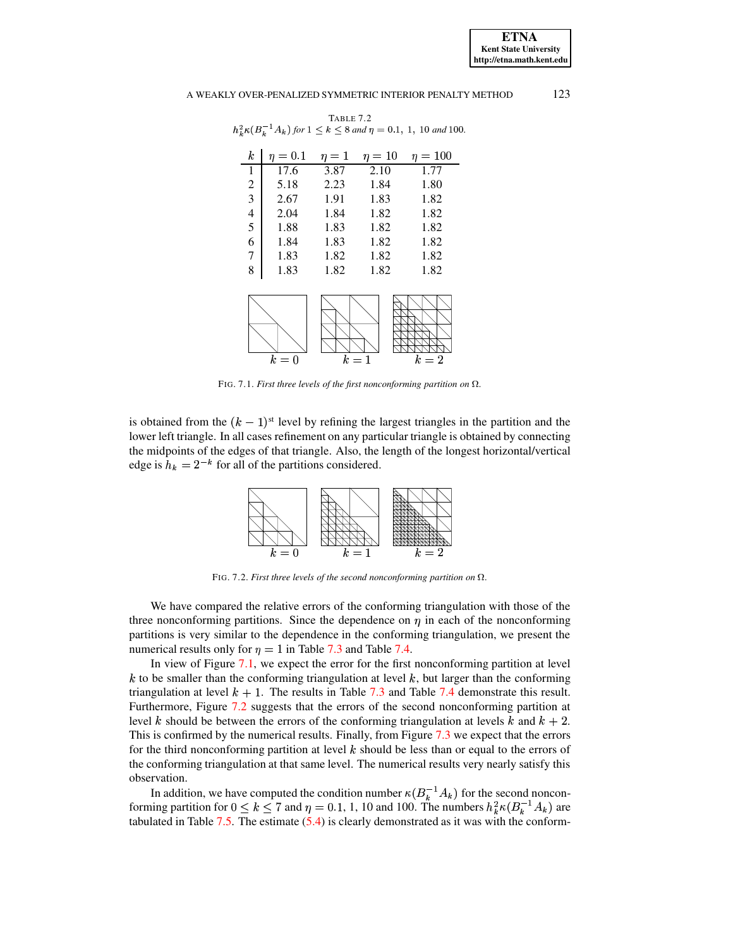**ETNA Kent State University http://etna.math.kent.edu**

## A WEAKLY OVER-PENALIZED SYMMETRIC INTERIOR PENALTY METHOD 123

TABLE 7.2

<span id="page-16-0"></span>

|                     |                  |       |      |       | $h_k^2 \kappa (B_k^{-1}A_k)$ for $1 \leq k \leq 8$ and $\eta = 0.1, 1, 10$ and 100. |
|---------------------|------------------|-------|------|-------|-------------------------------------------------------------------------------------|
|                     | $\boldsymbol{k}$ |       |      |       | $\eta = 0.1$ $\eta = 1$ $\eta = 10$ $\eta = 100$                                    |
|                     | $\mathbf{1}$     | 17.6  | 3.87 | 2.10  | 1.77                                                                                |
|                     | $\overline{c}$   | 5.18  | 2.23 | 1.84  | 1.80                                                                                |
|                     | $\overline{3}$   | 2.67  | 1.91 | 1.83  | 1.82                                                                                |
|                     | 4                | 2.04  | 1.84 | 1.82  | 1.82                                                                                |
|                     | 5                | 1.88  | 1.83 | 1.82  | 1.82                                                                                |
|                     | 6                | 1.84  | 1.83 | 1.82  | 1.82                                                                                |
|                     | 7                | 1.83  | 1.82 | 1.82  | 1.82                                                                                |
|                     | 8                | 1.83  | 1.82 | 1.82  | 1.82                                                                                |
|                     |                  |       |      |       |                                                                                     |
| PSfrag replacements |                  |       |      |       |                                                                                     |
|                     |                  | $k=0$ |      | $k=1$ | $k=2$                                                                               |

 $k = 0$   $k = 1$   $k = 2$ <br>FIG. 7.1. *First three levels of the first nonconforming partition on*  $\Omega$ *.* 

<span id="page-16-1"></span>is obtained from the  $(k - 1)$ <sup>st</sup> level by refining the largest triangles in the partition and the the midpoints of the edges of that triangle. Also, the length of the longest horizontal/vertical lower left triangle. In all cases refinement on any particular triangle is obtained by connecting edge is  $h_k = 2^{-k}$  for all of the partitions considered.



<span id="page-16-2"></span>We have compared the relative errors of the conforming triangulation with those of the three nonconforming partitions. Since the dependence on  $\eta$  in each of the nonconforming partitions is very similar to the dependence in the conforming triangulation, we present the numerical results only for  $\eta = 1$  in Table [7.3](#page-17-1) and Table [7.4.](#page-18-1)

In view of Figure [7.1,](#page-16-1) we expect the error for the first nonconforming partition at level  $k$  to be smaller than the conforming triangulation at level  $k$ , but larger than the conforming triangulation at level  $k + 1$ . The results in Table [7.3](#page-17-1) and Table [7.4](#page-18-1) demonstrate this result. level k should be between the errors of the conforming triangulation at levels k and  $k + 2$ . Furthermore, Figure [7.2](#page-16-2) suggests that the errors of the second nonconforming partition at This is confirmed by the numerical results. Finally, from Figure [7.3](#page-17-0) we expect that the errors for the third nonconforming partition at level  $k$  should be less than or equal to the errors of the conforming triangulation at that same level. The numerical results very nearly satisfy this observation.

In addition, we have computed the condition number  $\kappa (B_k^{-1}A_k)$  f<br>ing partition for  $0 \le k \le 7$  and  $n = 0.1, 1, 10$  and 100. The num  $(B_k^{-1}A_k)$  for the second nonconforming partition for  $0 \le k \le 7$  and  $\eta = 0.1, 1, 10$  and 100. The numbers  $h_k^2 \kappa (B_k^{-1} A_k)$  are tabulated in Table [7.5.](#page-18-2) The estimate [\(5.4\)](#page-12-1) is clearly demonstrated as it was with the conform-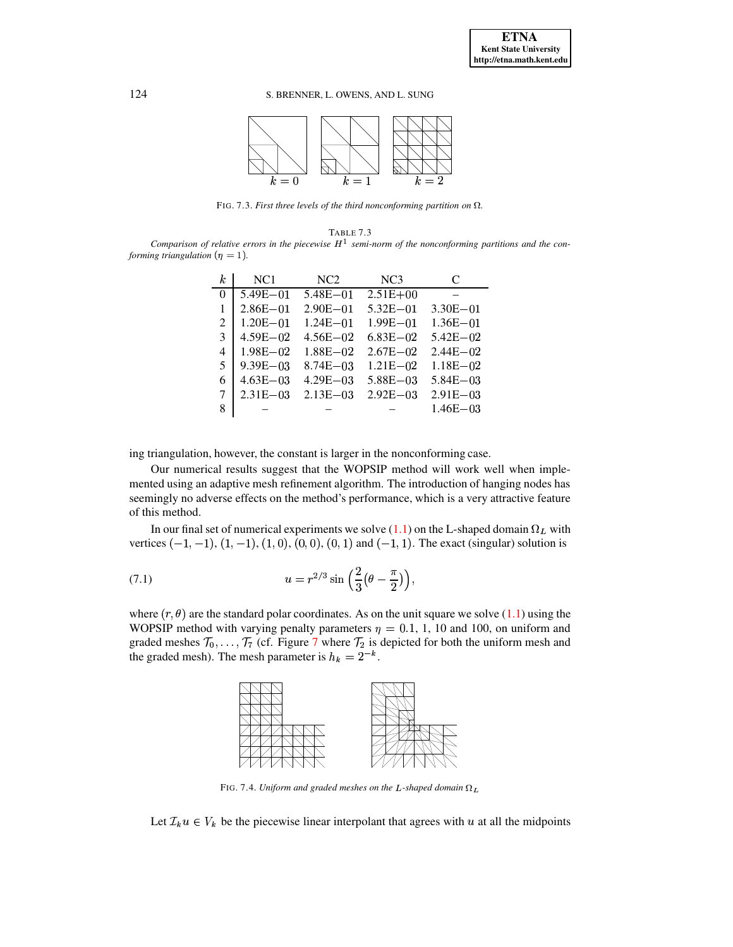

<span id="page-17-0"></span>FIG. 7.3. First three levels of the third nonconforming partition on  $\Omega$ .

## TABLE 7.3

<span id="page-17-1"></span>Comparison of relative errors in the piecewise  $H^1$  semi-norm of the nonconforming partitions and the conforming triangulation ( $\eta = 1$ ).

| k                           | NC <sub>1</sub> | NC2           | NC3           | C             |
|-----------------------------|-----------------|---------------|---------------|---------------|
| $\Omega$                    | $5.49E - 01$    | $5.48E - 01$  | $2.51E + 00$  |               |
|                             | $2.86E - 01$    | $2.90E - 01$  | $5.32E - 01$  | $3.30E - 01$  |
| $\mathcal{D}_{\mathcal{L}}$ | $1.20E - 01$    | $1.24E - 01$  | $1.99E - 01$  | $1.36E - 01$  |
| 3                           | $4.59E - 02$    | $4.56E - 02$  | $6.83E - 02$  | $5.42E - 02$  |
| $\overline{4}$              | $1.98E - 02$    | $1.88E - 02$  | $2.67E - 02$  | $2.44E - 02$  |
| .5                          | $9.39E - 03$    | $8.74E - 0.3$ | $1.21E - 02$  | $1.18E - 02$  |
| 6                           | $4.63E - 0.3$   | $4.29E - 0.3$ | $5.88E - 0.3$ | $5.84E - 0.3$ |
| 7                           | $2.31E - 0.3$   | $2.13E - 0.3$ | $2.92E - 0.3$ | $2.91E - 03$  |
| 8                           |                 |               |               | $1.46E - 03$  |

ing triangulation, however, the constant is larger in the nonconforming case.

Our numerical results suggest that the WOPSIP method will work well when implemented using an adaptive mesh refinement algorithm. The introduction of hanging nodes has seemingly no adverse effects on the method's performance, which is a very attractive feature of this method.

In our final set of numerical experiments we solve (1.1) on the L-shaped domain  $\Omega_L$  with vertices  $(-1, -1)$ ,  $(1, -1)$ ,  $(1, 0)$ ,  $(0, 0)$ ,  $(0, 1)$  and  $(-1, 1)$ . The exact (singular) solution is

(7.1) 
$$
u = r^{2/3} \sin\left(\frac{2}{3}\left(\theta - \frac{\pi}{2}\right)\right),
$$

where  $(r, \theta)$  are the standard polar coordinates. As on the unit square we solve (1.1) using the WOPSIP method with varying penalty parameters  $\eta = 0.1, 1, 10$  and 100, on uniform and graded meshes  $\mathcal{T}_0, \ldots, \mathcal{T}_7$  (cf. Figure 7 where  $\mathcal{T}_2$  is depicted for both the uniform mesh and the graded mesh). The mesh parameter is  $h_k = 2^{-k}$ .

<span id="page-17-2"></span>

FIG. 7.4. Uniform and graded meshes on the L-shaped domain  $\Omega_L$ 

Let  $\mathcal{I}_k u \in V_k$  be the piecewise linear interpolant that agrees with u at all the midpoints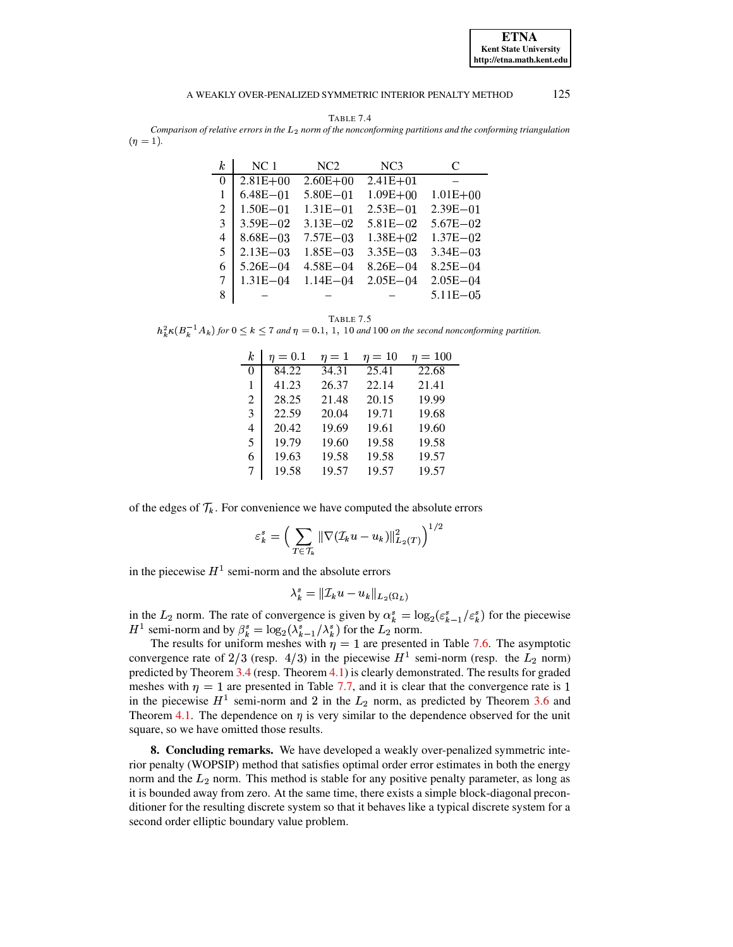**ETNA Kent State University** http://etna.math.kent.edu

#### 125 A WEAKLY OVER-PENALIZED SYMMETRIC INTERIOR PENALTY METHOD

TABLE 7.4

<span id="page-18-1"></span>Comparison of relative errors in the  $L_2$  norm of the nonconforming partitions and the conforming triangulation  $(\eta = 1).$ 

| k        | NC <sub>1</sub> | NC <sub>2</sub> | NC <sub>3</sub> | C             |
|----------|-----------------|-----------------|-----------------|---------------|
| $\Omega$ | $2.81E + 00$    | $2.60E + 00$    | $2.41E + 01$    |               |
| 1        | $6.48E - 01$    | $5.80E - 01$    | $1.09E + 00$    | $1.01E + 00$  |
| 2        | $1.50E - 01$    | $1.31E - 01$    | $2.53E - 01$    | $2.39E - 01$  |
| 3        | $3.59E - 02$    | $3.13E - 02$    | $5.81E - 02$    | $5.67E - 02$  |
| 4        | $8.68E - 03$    | $7.57E - 03$    | $1.38E + 02$    | $1.37E - 02$  |
| 5        | $2.13E - 03$    | $1.85E - 0.3$   | $3.35E - 0.3$   | $3.34E - 0.3$ |
| 6        | $5.26E - 04$    | $4.58E - 04$    | $8.26E - 04$    | $8.25E - 04$  |
| 7        | $1.31E - 04$    | $1.14E - 04$    | $2.05E - 04$    | $2.05E - 04$  |
| 8        |                 |                 |                 | $5.11E - 05$  |
|          |                 |                 |                 |               |

TABLE 7.5

<span id="page-18-2"></span> $h_k^2 \kappa (B_k^{-1}A_k)$  for  $0 \le k \le 7$  and  $\eta = 0.1, 1, 10$  and 100 on the second nonconforming partition.

| k.       | $n=0.1$ | $\eta=1$ | $\eta=10$          | $\eta=100$         |
|----------|---------|----------|--------------------|--------------------|
| $\Omega$ | 84.22   | 34.31    | $\overline{25.41}$ | $\overline{22.68}$ |
| 1        | 41.23   | 26.37    | 22.14              | 21.41              |
| 2        | 28.25   | 21.48    | 20.15              | 19.99              |
| 3        | 22.59   | 20.04    | 19.71              | 19.68              |
| 4        | 20.42   | 19.69    | 19.61              | 19.60              |
| 5        | 19.79   | 19.60    | 19.58              | 19.58              |
| 6        | 19.63   | 19.58    | 19.58              | 19.57              |
| 7        | 19.58   | 19.57    | 19.57              | 19.57              |

of the edges of  $\mathcal{T}_k$ . For convenience we have computed the absolute errors

$$
\varepsilon_k^s = \Big(\sum_{T\in\mathcal{T}_k} \|\nabla (\mathcal{I}_k u - u_k)\|_{L_2(T)}^2\Big)^{1/2}
$$

in the piecewise  $H^1$  semi-norm and the absolute errors

$$
\lambda_k^s = \|\mathcal{I}_k u - u_k\|_{L_2(\Omega_L)}
$$

in the  $L_2$  norm. The rate of convergence is given by  $\alpha_k^s = \log_2(\varepsilon_{k-1}^s/\varepsilon_k^s)$  for the piecewise  $H^1$  semi-norm and by  $\beta_k^s = \log_2(\lambda_{k-1}^s/\lambda_k^s)$  for the  $L_2$  norm.

The results for uniform meshes with  $\eta = 1$  are presented in Table 7.6. The asymptotic convergence rate of 2/3 (resp. 4/3) in the piecewise  $H^1$  semi-norm (resp. the  $L_2$  norm) predicted by Theorem  $3.4$  (resp. Theorem  $4.1$ ) is clearly demonstrated. The results for graded meshes with  $\eta = 1$  are presented in Table 7.7, and it is clear that the convergence rate is 1 in the piecewise  $H^1$  semi-norm and 2 in the  $L_2$  norm, as predicted by Theorem 3.6 and Theorem 4.1. The dependence on  $\eta$  is very similar to the dependence observed for the unit square, so we have omitted those results.

<span id="page-18-0"></span>8. Concluding remarks. We have developed a weakly over-penalized symmetric interior penalty (WOPSIP) method that satisfies optimal order error estimates in both the energy norm and the  $L_2$  norm. This method is stable for any positive penalty parameter, as long as it is bounded away from zero. At the same time, there exists a simple block-diagonal preconditioner for the resulting discrete system so that it behaves like a typical discrete system for a second order elliptic boundary value problem.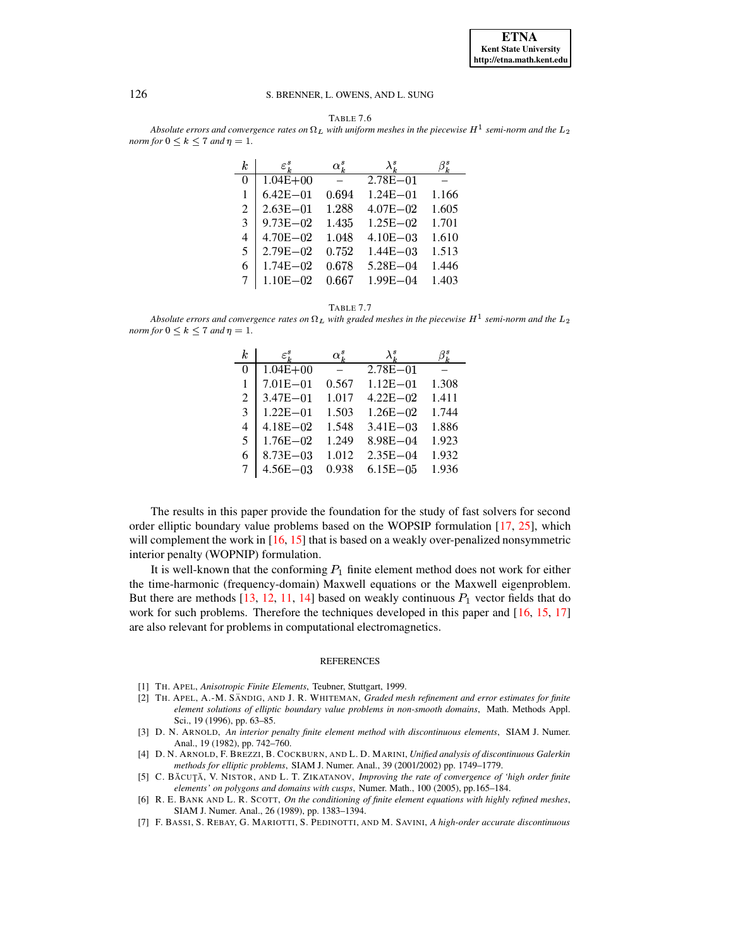

| Table 7.6 |
|-----------|
|-----------|

<span id="page-19-7"></span>Absolute errors and convergence rates on  $\Omega_L$  with uniform meshes in the piecewise  $H^1$  semi-norm and the  $L_2$ norm for  $0 \leq k \leq 7$  and  $\eta = 1$ .

| k                           | $\varepsilon^{s}_{k}$ | $\alpha_k^s$ | $\lambda^s_{\,\scriptscriptstyle L}$ |       |
|-----------------------------|-----------------------|--------------|--------------------------------------|-------|
| $\theta$                    | $1.04E + 00$          |              | $2.78E - 01$                         |       |
|                             | $6.42E - 01$          | 0.694        | $1.24E - 01$                         | 1.166 |
| $\mathcal{D}_{\mathcal{L}}$ | $2.63E - 01$          | 1.288        | $4.07E - 02$                         | 1.605 |
| 3                           | $9.73E - 02$          | 1.435        | $1.25E - 02$                         | 1.701 |
| 4                           | $4.70E - 02$          | 1.048        | $4.10E - 0.3$                        | 1.610 |
| 5                           | $2.79E - 02$          | 0.752        | $1.44E - 0.3$                        | 1.513 |
| 6                           | $1.74E - 02$          | 0.678        | $5.28E - 04$                         | 1.446 |
|                             | $1.10E - 02$          | 0.667        | $1.99E - 04$                         | 1.403 |
|                             |                       |              |                                      |       |

TABLE 7.7

<span id="page-19-8"></span>Absolute errors and convergence rates on  $\Omega_L$  with graded meshes in the piecewise  $H^1$  semi-norm and the  $L_2$ *norm for*  $0 \leq k \leq 7$  *and*  $\eta = 1$ *.* 

| k                           | $\varepsilon^s_{\,\scriptscriptstyle L}$ | $\alpha_k^s$ | $\lambda_k^s$ |       |
|-----------------------------|------------------------------------------|--------------|---------------|-------|
| $\Omega$                    | $1.04E + 00$                             |              | $2.78E - 01$  |       |
|                             | $7.01E - 01$                             | 0.567        | $1.12E - 01$  | 1.308 |
| $\mathcal{D}_{\mathcal{L}}$ | $3.47E - 01$                             | 1.017        | $4.22E - 02$  | 1.411 |
| $\mathcal{E}$               | $1.22E - 01$                             | 1.503        | $1.26E - 02$  | 1.744 |
| 4                           | $4.18E - 02$                             | 1.548        | $3.41E - 03$  | 1.886 |
| .5                          | $1.76E - 02$                             | 1.249        | $8.98E - 04$  | 1.923 |
| 6                           | $8.73E - 03$                             | 1.012        | $2.35E - 04$  | 1.932 |
|                             | $4.56E - 03$                             | 0.938        | $6.15E - 0.5$ | 1.936 |

The results in this paper provide the foundation for the study of fast solvers for second order elliptic boundary value problems based on the WOPSIP formulation [17, 25], which will complement the work in  $[16, 15]$  that is based on a weakly over-penalized nonsymmetric interior penalty (WOPNIP) formulation.

It is well-known that the conforming  $P_1$  finite element method does not work for either the time-harmonic (frequency-domain) Maxwell equations or the Maxwell eigenproblem. But there are methods  $[13, 12, 11, 14]$  based on weakly continuous  $P_1$  vector fields that do work for such problems. Therefore the techniques developed in this paper and  $[16, 15, 17]$ are also relevant for problems in computational electromagnetics.

### **REFERENCES**

- <span id="page-19-4"></span><span id="page-19-3"></span>[1] TH. APEL, Anisotropic Finite Elements, Teubner, Stuttgart, 1999.
- [2] TH. APEL, A.-M. SÄNDIG, AND J. R. WHITEMAN, Graded mesh refinement and error estimates for finite element solutions of elliptic boundary value problems in non-smooth domains, Math. Methods Appl. Sci., 19 (1996), pp. 63-85.
- <span id="page-19-1"></span>[3] D. N. ARNOLD, An interior penalty finite element method with discontinuous elements, SIAM J. Numer. Anal., 19 (1982), pp. 742-760.
- <span id="page-19-0"></span>[4] D. N. ARNOLD, F. BREZZI, B. COCKBURN, AND L. D. MARINI, Unified analysis of discontinuous Galerkin methods for elliptic problems, SIAM J. Numer. Anal., 39 (2001/2002) pp. 1749–1779.
- <span id="page-19-5"></span>[5] C. BĂCUȚĂ, V. NISTOR, AND L. T. ZIKATANOV, Improving the rate of convergence of 'high order finite elements' on polygons and domains with cusps, Numer. Math., 100 (2005), pp.165-184.
- <span id="page-19-6"></span>[6] R. E. BANK AND L. R. SCOTT, On the conditioning of finite element equations with highly refined meshes, SIAM J. Numer. Anal., 26 (1989), pp. 1383-1394.
- <span id="page-19-2"></span>[7] F. BASSI, S. REBAY, G. MARIOTTI, S. PEDINOTTI, AND M. SAVINI, A high-order accurate discontinuous